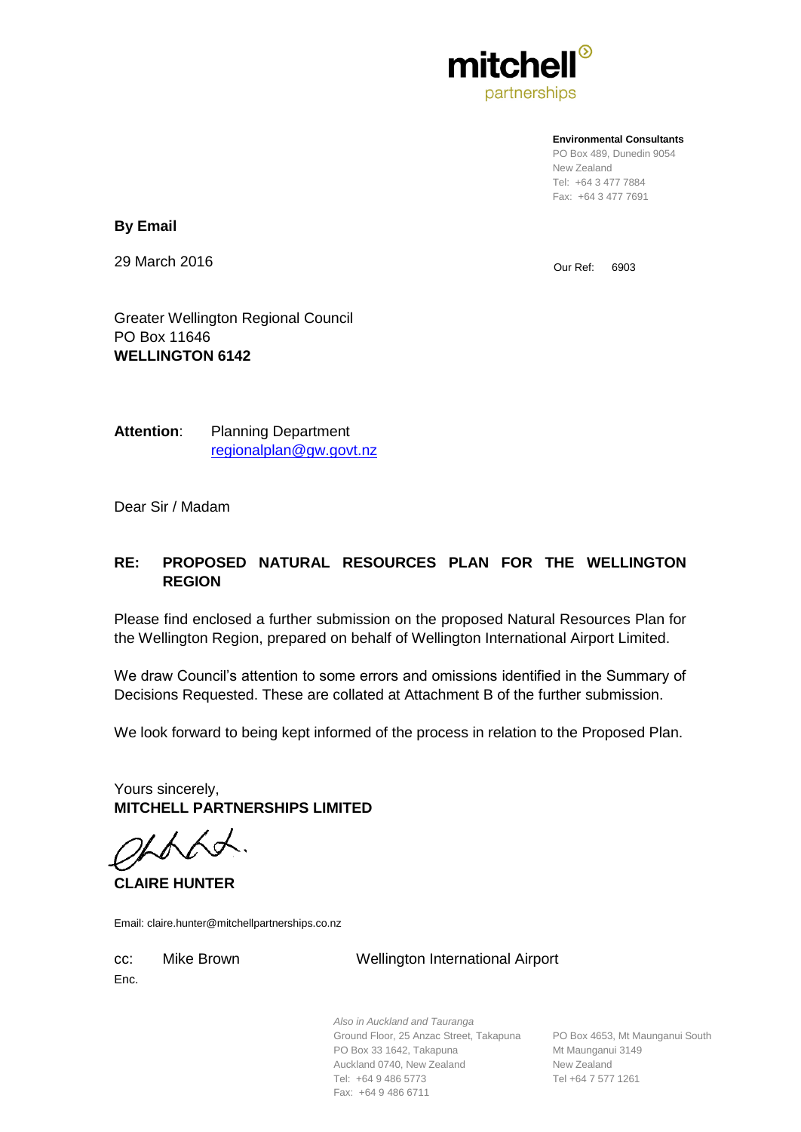

**Environmental Consultants**

PO Box 489, Dunedin 9054 New Zealand Tel: +64 3 477 7884 Fax: +64 3 477 7691

**By Email**

29 March 2016

Our Ref: 6903

Greater Wellington Regional Council PO Box 11646 **WELLINGTON 6142**

**Attention**: Planning Department [regionalplan@gw.govt.nz](mailto:regionalplan@gw.govt.nz)

Dear Sir / Madam

#### **RE: PROPOSED NATURAL RESOURCES PLAN FOR THE WELLINGTON REGION**

Please find enclosed a further submission on the proposed Natural Resources Plan for the Wellington Region, prepared on behalf of Wellington International Airport Limited.

We draw Council's attention to some errors and omissions identified in the Summary of Decisions Requested. These are collated at Attachment B of the further submission.

We look forward to being kept informed of the process in relation to the Proposed Plan.

Yours sincerely, **MITCHELL PARTNERSHIPS LIMITED**

 $\prec \prec$ 

**CLAIRE HUNTER**

Email: claire.hunter@mitchellpartnerships.co.nz

Enc.

cc: Mike Brown Wellington International Airport

*Also in Auckland and Tauranga* Ground Floor, 25 Anzac Street, Takapuna PO Box 4653, Mt Maunganui South PO Box 33 1642, Takapuna Mt Maunganui 3149 Auckland 0740, New Zealand New Zealand Tel: +64 9 486 5773 Tel +64 7 577 1261 Fax: +64 9 486 6711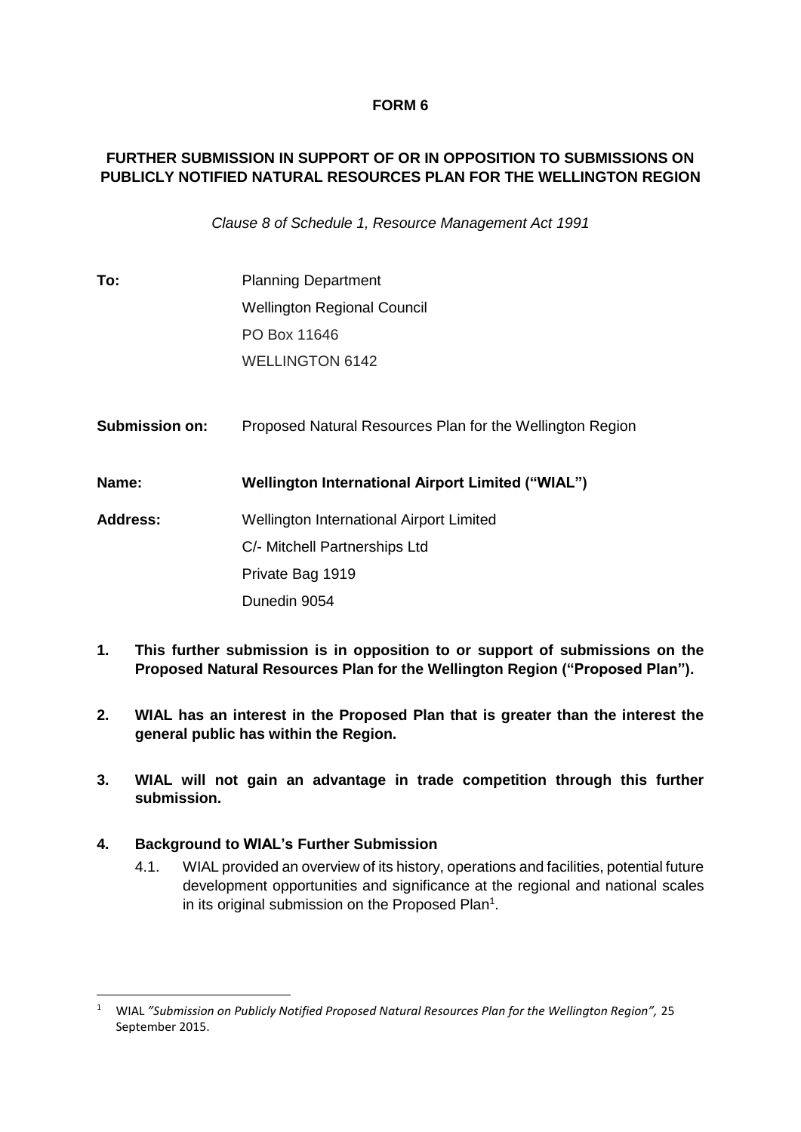#### **FORM 6**

## **FURTHER SUBMISSION IN SUPPORT OF OR IN OPPOSITION TO SUBMISSIONS ON PUBLICLY NOTIFIED NATURAL RESOURCES PLAN FOR THE WELLINGTON REGION**

*Clause 8 of Schedule 1, Resource Management Act 1991*

- **To:** Planning Department Wellington Regional Council PO Box 11646 WELLINGTON 6142
- **Submission on:** Proposed Natural Resources Plan for the Wellington Region

**Name: Wellington International Airport Limited ("WIAL")**

- **Address:** Wellington International Airport Limited C/- Mitchell Partnerships Ltd Private Bag 1919 Dunedin 9054
- **1. This further submission is in opposition to or support of submissions on the Proposed Natural Resources Plan for the Wellington Region ("Proposed Plan").**
- **2. WIAL has an interest in the Proposed Plan that is greater than the interest the general public has within the Region.**
- **3. WIAL will not gain an advantage in trade competition through this further submission.**

#### **4. Background to WIAL's Further Submission**

4.1. WIAL provided an overview of its history, operations and facilities, potential future development opportunities and significance at the regional and national scales in its original submission on the Proposed Plan<sup>1</sup>.

**<sup>.</sup>** <sup>1</sup> WIAL *"Submission on Publicly Notified Proposed Natural Resources Plan for the Wellington Region",* 25 September 2015.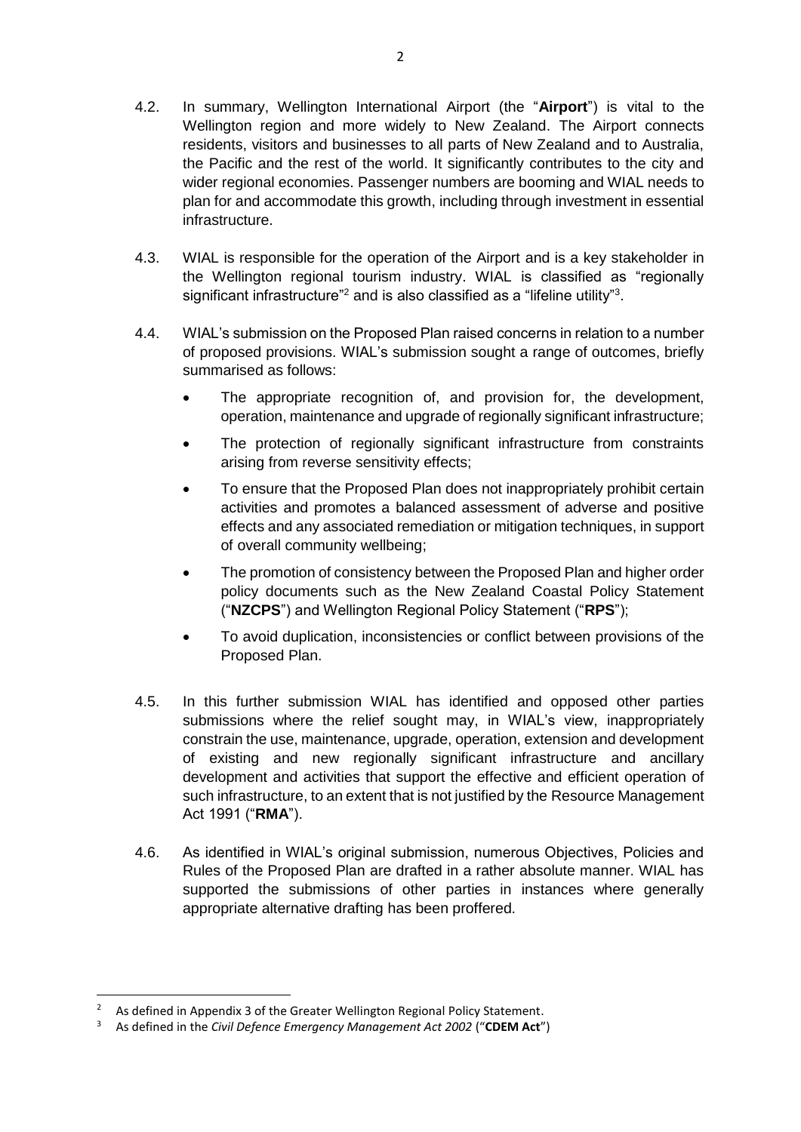- 4.2. In summary, Wellington International Airport (the "**Airport**") is vital to the Wellington region and more widely to New Zealand. The Airport connects residents, visitors and businesses to all parts of New Zealand and to Australia, the Pacific and the rest of the world. It significantly contributes to the city and wider regional economies. Passenger numbers are booming and WIAL needs to plan for and accommodate this growth, including through investment in essential infrastructure.
- 4.3. WIAL is responsible for the operation of the Airport and is a key stakeholder in the Wellington regional tourism industry. WIAL is classified as "regionally significant infrastructure"<sup>2</sup> and is also classified as a "lifeline utility"<sup>3</sup>.
- 4.4. WIAL's submission on the Proposed Plan raised concerns in relation to a number of proposed provisions. WIAL's submission sought a range of outcomes, briefly summarised as follows:
	- The appropriate recognition of, and provision for, the development, operation, maintenance and upgrade of regionally significant infrastructure;
	- The protection of regionally significant infrastructure from constraints arising from reverse sensitivity effects;
	- To ensure that the Proposed Plan does not inappropriately prohibit certain activities and promotes a balanced assessment of adverse and positive effects and any associated remediation or mitigation techniques, in support of overall community wellbeing;
	- The promotion of consistency between the Proposed Plan and higher order policy documents such as the New Zealand Coastal Policy Statement ("**NZCPS**") and Wellington Regional Policy Statement ("**RPS**");
	- To avoid duplication, inconsistencies or conflict between provisions of the Proposed Plan.
- 4.5. In this further submission WIAL has identified and opposed other parties submissions where the relief sought may, in WIAL's view, inappropriately constrain the use, maintenance, upgrade, operation, extension and development of existing and new regionally significant infrastructure and ancillary development and activities that support the effective and efficient operation of such infrastructure, to an extent that is not justified by the Resource Management Act 1991 ("**RMA**").
- 4.6. As identified in WIAL's original submission, numerous Objectives, Policies and Rules of the Proposed Plan are drafted in a rather absolute manner. WIAL has supported the submissions of other parties in instances where generally appropriate alternative drafting has been proffered.

**.** 

As defined in Appendix 3 of the Greater Wellington Regional Policy Statement.

<sup>3</sup> As defined in the *Civil Defence Emergency Management Act 2002* ("**CDEM Act**")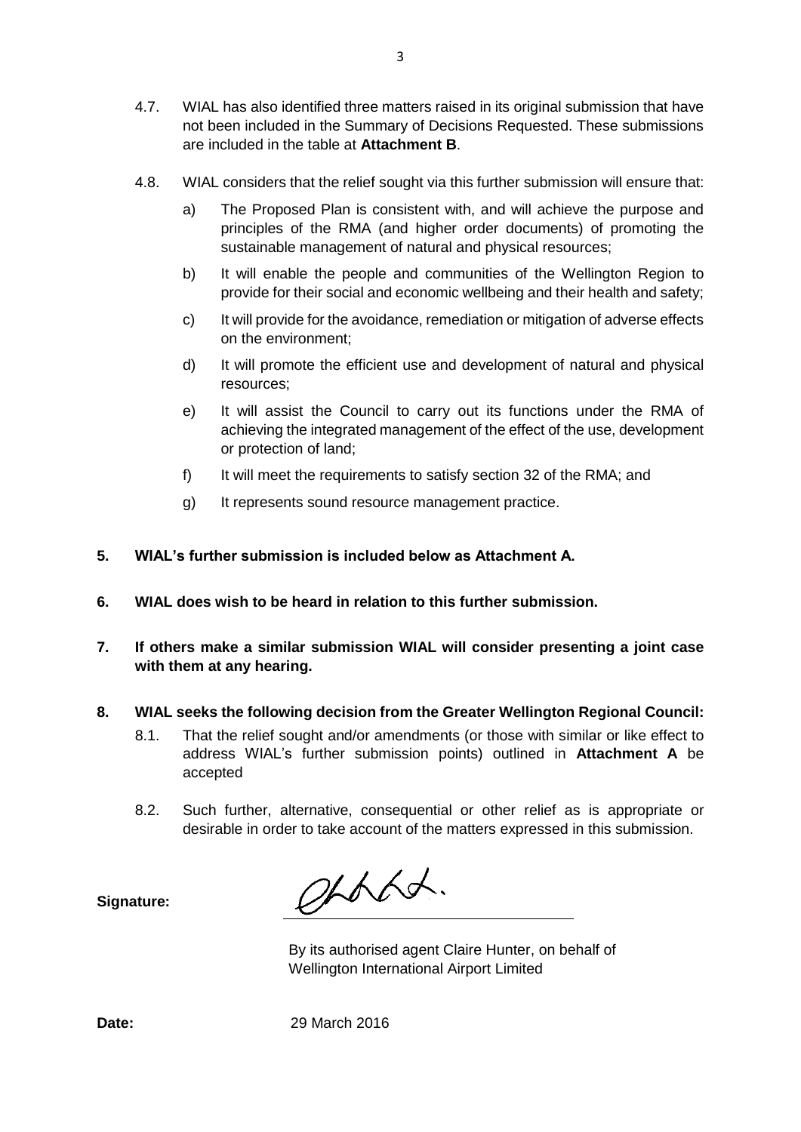- 4.7. WIAL has also identified three matters raised in its original submission that have not been included in the Summary of Decisions Requested. These submissions are included in the table at **Attachment B**.
- 4.8. WIAL considers that the relief sought via this further submission will ensure that:
	- a) The Proposed Plan is consistent with, and will achieve the purpose and principles of the RMA (and higher order documents) of promoting the sustainable management of natural and physical resources;
	- b) It will enable the people and communities of the Wellington Region to provide for their social and economic wellbeing and their health and safety;
	- c) It will provide for the avoidance, remediation or mitigation of adverse effects on the environment;
	- d) It will promote the efficient use and development of natural and physical resources;
	- e) It will assist the Council to carry out its functions under the RMA of achieving the integrated management of the effect of the use, development or protection of land;
	- f) It will meet the requirements to satisfy section 32 of the RMA; and
	- g) It represents sound resource management practice.
- **5. WIAL's further submission is included below as Attachment A.**
- **6. WIAL does wish to be heard in relation to this further submission.**
- **7. If others make a similar submission WIAL will consider presenting a joint case with them at any hearing.**
- **8. WIAL seeks the following decision from the Greater Wellington Regional Council:**
	- 8.1. That the relief sought and/or amendments (or those with similar or like effect to address WIAL's further submission points) outlined in **Attachment A** be accepted
	- 8.2. Such further, alternative, consequential or other relief as is appropriate or desirable in order to take account of the matters expressed in this submission.

gradd.

**Signature:**

By its authorised agent Claire Hunter, on behalf of Wellington International Airport Limited

**Date:** 29 March 2016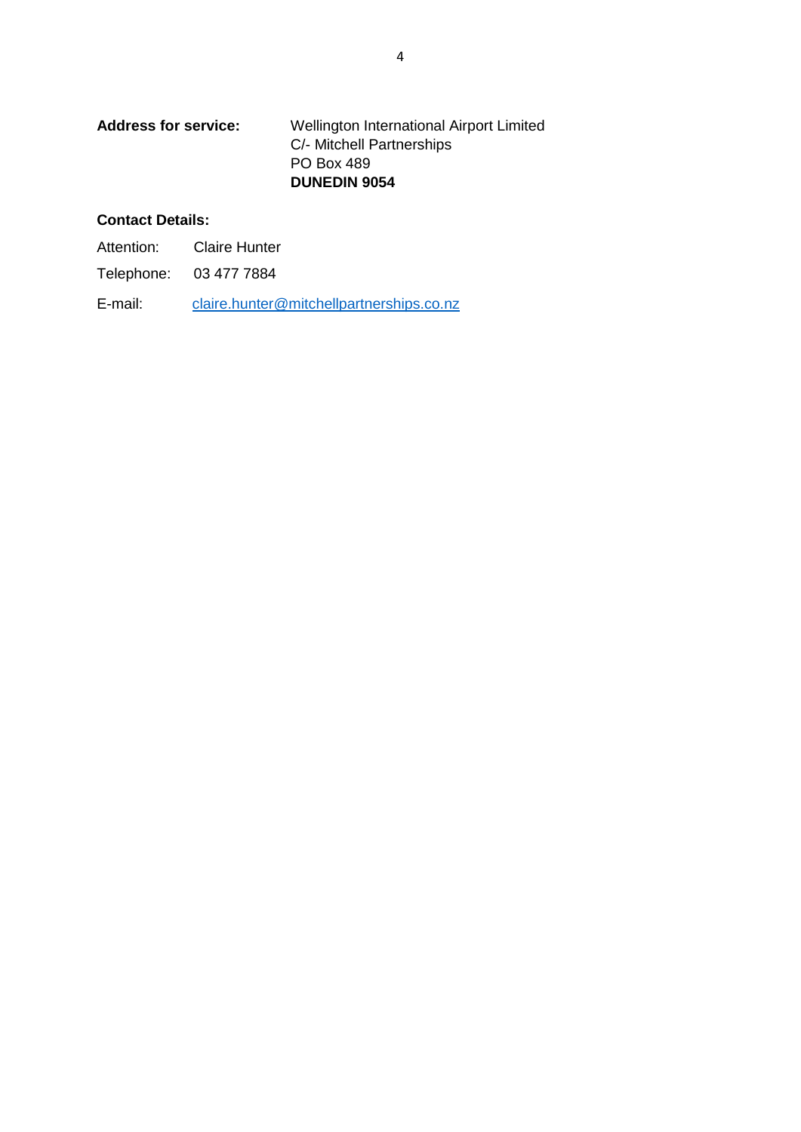#### **Address for service:** Wellington International Airport Limited C/- Mitchell Partnerships PO Box 489 **DUNEDIN 9054**

## **Contact Details:**

Attention: Claire Hunter

Telephone: 03 477 7884

E-mail: [claire.hunter@mitchellpartnerships.co.nz](mailto:claire.hunter@mitchellpartnerships.co.nz)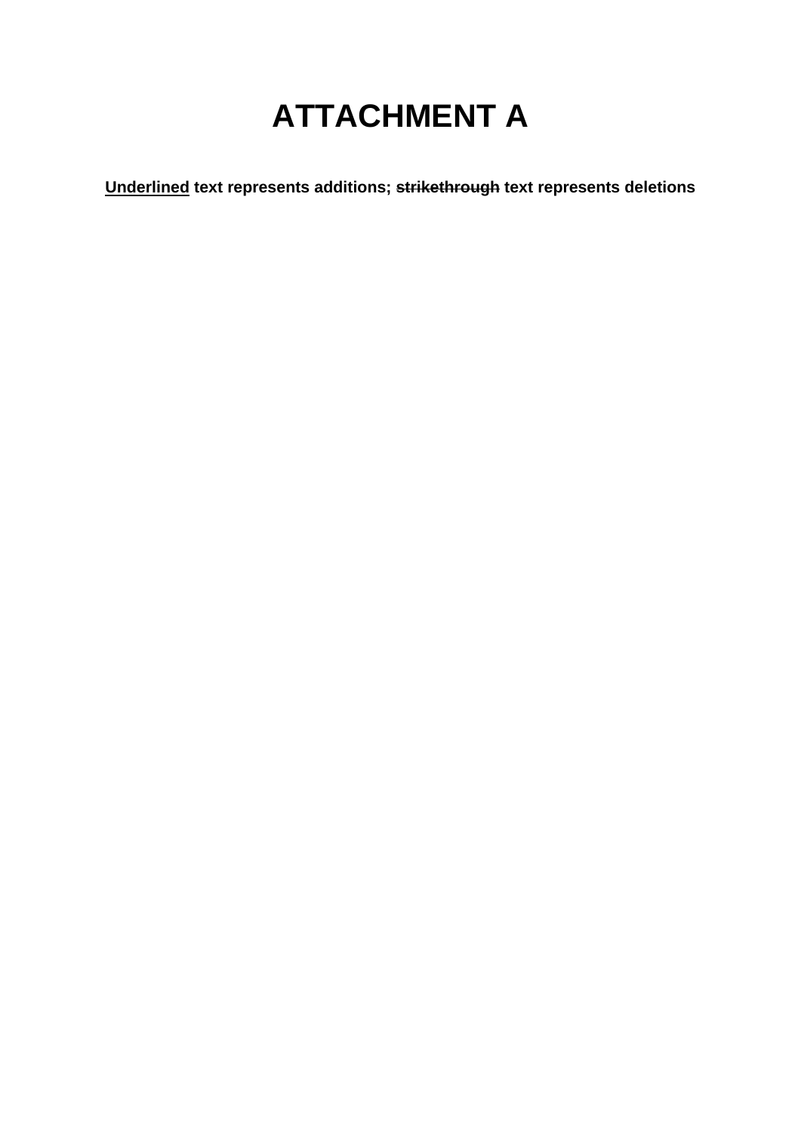# **ATTACHMENT A**

**Underlined text represents additions; strikethrough text represents deletions**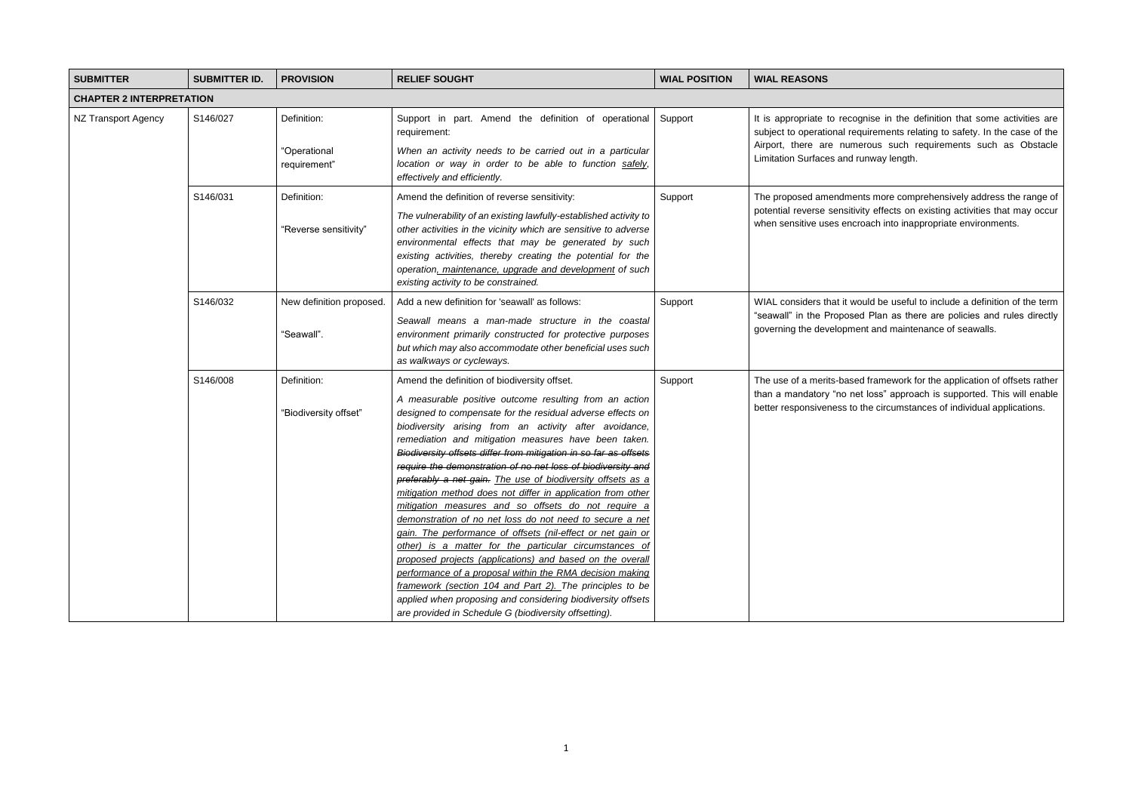ognise in the definition that some activities are equirements relating to safety. In the case of the merous such requirements such as Obstacle I runway length.

nents more comprehensively address the range of tivity effects on existing activities that may occur croach into inappropriate environments.

would be useful to include a definition of the term sed Plan as there are policies and rules directly nent and maintenance of seawalls.

sed framework for the application of offsets rather net loss" approach is supported. This will enable to the circumstances of individual applications.

| <b>SUBMITTER</b>                | <b>SUBMITTER ID.</b> | <b>PROVISION</b>             | <b>RELIEF SOUGHT</b>                                                                                                                                                                                                                                                                                                                                                                                                                                                                                                                                                                                                                                                                                                                                                                                                                                                                                                                                                                                                                                              | <b>WIAL POSITION</b> | <b>WIAL REASONS</b>                                    |
|---------------------------------|----------------------|------------------------------|-------------------------------------------------------------------------------------------------------------------------------------------------------------------------------------------------------------------------------------------------------------------------------------------------------------------------------------------------------------------------------------------------------------------------------------------------------------------------------------------------------------------------------------------------------------------------------------------------------------------------------------------------------------------------------------------------------------------------------------------------------------------------------------------------------------------------------------------------------------------------------------------------------------------------------------------------------------------------------------------------------------------------------------------------------------------|----------------------|--------------------------------------------------------|
| <b>CHAPTER 2 INTERPRETATION</b> |                      |                              |                                                                                                                                                                                                                                                                                                                                                                                                                                                                                                                                                                                                                                                                                                                                                                                                                                                                                                                                                                                                                                                                   |                      |                                                        |
| NZ Transport Agency             | S146/027             | Definition:                  | Support in part. Amend the definition of operational<br>requirement:                                                                                                                                                                                                                                                                                                                                                                                                                                                                                                                                                                                                                                                                                                                                                                                                                                                                                                                                                                                              | Support              | It is appropriate to reco<br>subject to operational re |
|                                 |                      | "Operational<br>requirement" | When an activity needs to be carried out in a particular<br>location or way in order to be able to function safely,<br>effectively and efficiently.                                                                                                                                                                                                                                                                                                                                                                                                                                                                                                                                                                                                                                                                                                                                                                                                                                                                                                               |                      | Airport, there are nun<br>Limitation Surfaces and      |
|                                 | S146/031             | Definition:                  | Amend the definition of reverse sensitivity:                                                                                                                                                                                                                                                                                                                                                                                                                                                                                                                                                                                                                                                                                                                                                                                                                                                                                                                                                                                                                      | Support              | The proposed amendme                                   |
|                                 |                      | "Reverse sensitivity"        | The vulnerability of an existing lawfully-established activity to<br>other activities in the vicinity which are sensitive to adverse<br>environmental effects that may be generated by such<br>existing activities, thereby creating the potential for the<br>operation, maintenance, upgrade and development of such<br>existing activity to be constrained.                                                                                                                                                                                                                                                                                                                                                                                                                                                                                                                                                                                                                                                                                                     |                      | potential reverse sensiti<br>when sensitive uses end   |
|                                 | S146/032             | New definition proposed.     | Add a new definition for 'seawall' as follows:                                                                                                                                                                                                                                                                                                                                                                                                                                                                                                                                                                                                                                                                                                                                                                                                                                                                                                                                                                                                                    | Support              | WIAL considers that it w                               |
|                                 |                      | "Seawall".                   | Seawall means a man-made structure in the coastal<br>environment primarily constructed for protective purposes<br>but which may also accommodate other beneficial uses such<br>as walkways or cycleways.                                                                                                                                                                                                                                                                                                                                                                                                                                                                                                                                                                                                                                                                                                                                                                                                                                                          |                      | "seawall" in the Propos<br>governing the developm      |
|                                 | S146/008             | Definition:                  | Amend the definition of biodiversity offset.                                                                                                                                                                                                                                                                                                                                                                                                                                                                                                                                                                                                                                                                                                                                                                                                                                                                                                                                                                                                                      | Support              | The use of a merits-base                               |
|                                 |                      | "Biodiversity offset"        | A measurable positive outcome resulting from an action<br>designed to compensate for the residual adverse effects on<br>biodiversity arising from an activity after avoidance,<br>remediation and mitigation measures have been taken.<br>Biodiversity offsets differ from mitigation in so far as offsets<br>require the demonstration of no net loss of biodiversity and<br>preferably a net gain. The use of biodiversity offsets as a<br>mitigation method does not differ in application from other<br>mitigation measures and so offsets do not require a<br>demonstration of no net loss do not need to secure a net<br>gain. The performance of offsets (nil-effect or net gain or<br>other) is a matter for the particular circumstances of<br>proposed projects (applications) and based on the overall<br>performance of a proposal within the RMA decision making<br>framework (section 104 and Part 2). The principles to be<br>applied when proposing and considering biodiversity offsets<br>are provided in Schedule G (biodiversity offsetting). |                      | than a mandatory "no n<br>better responsiveness to     |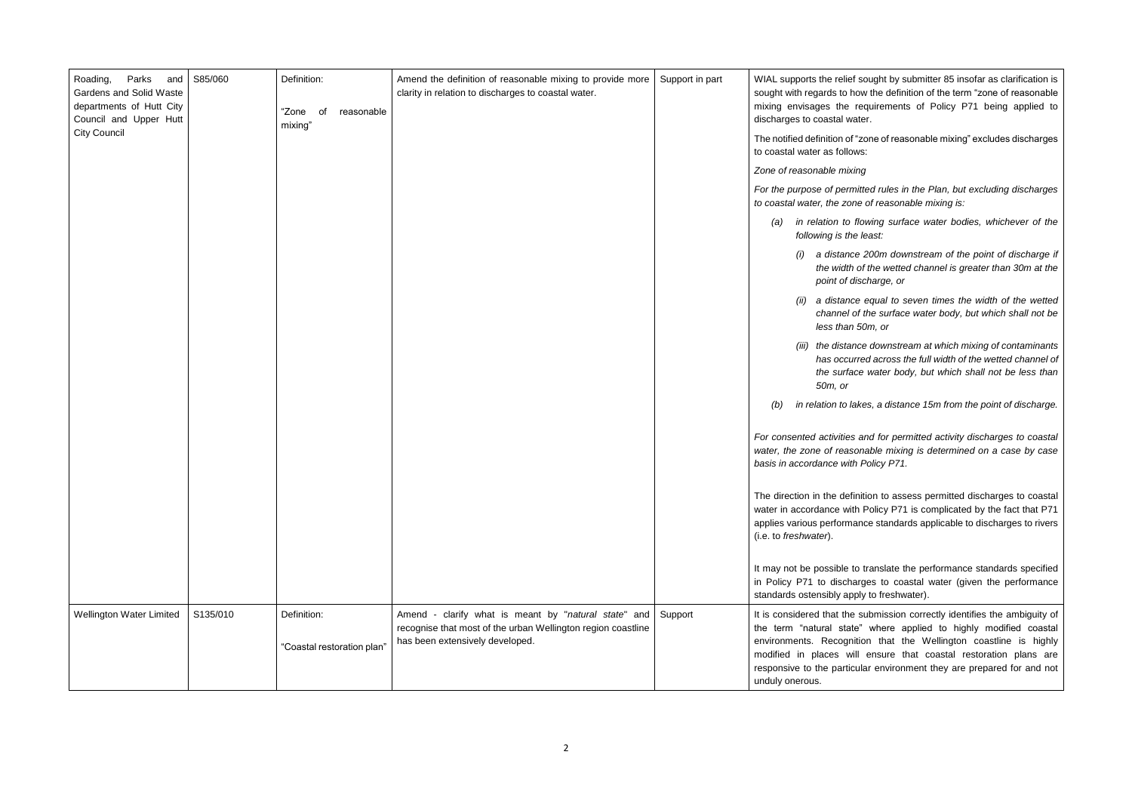f sought by submitter 85 insofar as clarification is how the definition of the term "zone of reasonable requirements of Policy P71 being applied to ater.

"zone of reasonable mixing" excludes discharges  $w$ s:

flowing surface water bodies, whichever of the *following is the least:*

*Zone of reasonable mixing*

*For the purpose of permitted rules in the Plan, but excluding discharges to coastal water, the zone of reasonable mixing is:* 

*Formal for permitted activity discharges to coastal* sonable mixing is determined on a case by case *basis in accordance with Policy P71.*

finition to assess permitted discharges to coastal ith Policy P71 is complicated by the fact that P71 ance standards applicable to discharges to rivers

to translate the performance standards specified iarges to coastal water (given the performance pply to freshwater).

 $s$  submission correctly identifies the ambiguity of te" where applied to highly modified coastal hition that the Wellington coastline is highly vill ensure that coastal restoration plans are cular environment they are prepared for and not

*(i) a distance 200m downstream of the point of discharge if*  of the wetted channel is greater than 30m at the *point of discharge, or* 

*(ii) a distance equal to seven times the width of the wetted channel the surface water body, but which shall not be less than 50m, or* 

*(iii) the distance downstream at which mixing of contaminants has occurred across the full width of the wetted channel of the surface water body, but which shall not be less than* 

| Roading,<br>Parks<br>and<br>Gardens and Solid Waste<br>departments of Hutt City<br>Council and Upper Hutt<br><b>City Council</b> | S85/060  | Definition:<br>reasonable<br>"Zone<br>of<br>mixing" | Amend the definition of reasonable mixing to provide more<br>clarity in relation to discharges to coastal water.                                        | Support in part | WIAL supports the relief<br>sought with regards to h<br>mixing envisages the<br>discharges to coastal wa<br>The notified definition of              |
|----------------------------------------------------------------------------------------------------------------------------------|----------|-----------------------------------------------------|---------------------------------------------------------------------------------------------------------------------------------------------------------|-----------------|-----------------------------------------------------------------------------------------------------------------------------------------------------|
|                                                                                                                                  |          |                                                     |                                                                                                                                                         |                 | to coastal water as follo<br>Zone of reasonable mix                                                                                                 |
|                                                                                                                                  |          |                                                     |                                                                                                                                                         |                 | For the purpose of pern<br>to coastal water, the zor                                                                                                |
|                                                                                                                                  |          |                                                     |                                                                                                                                                         |                 | in relation to<br>(a)<br>following is the                                                                                                           |
|                                                                                                                                  |          |                                                     |                                                                                                                                                         |                 | a distanc<br>(i)<br>the width<br>point of c                                                                                                         |
|                                                                                                                                  |          |                                                     |                                                                                                                                                         |                 | a distand<br>(ii)<br>channel<br>less than                                                                                                           |
|                                                                                                                                  |          |                                                     |                                                                                                                                                         |                 | (iii) the distal<br>has occu<br>the surfa<br>50m, or                                                                                                |
|                                                                                                                                  |          |                                                     |                                                                                                                                                         |                 | in relation to la<br>(b)                                                                                                                            |
|                                                                                                                                  |          |                                                     |                                                                                                                                                         |                 | For consented activities<br>water, the zone of reas<br>basis in accordance with                                                                     |
|                                                                                                                                  |          |                                                     |                                                                                                                                                         |                 | The direction in the defi<br>water in accordance wit<br>applies various performa<br>(i.e. to freshwater).                                           |
|                                                                                                                                  |          |                                                     |                                                                                                                                                         |                 | It may not be possible t<br>in Policy P71 to discha<br>standards ostensibly ap                                                                      |
| Wellington Water Limited                                                                                                         | S135/010 | Definition:<br>"Coastal restoration plan"           | Amend - clarify what is meant by "natural state" and<br>recognise that most of the urban Wellington region coastline<br>has been extensively developed. | Support         | It is considered that the<br>the term "natural stat<br>environments. Recogn<br>modified in places wi<br>responsive to the partic<br>unduly onerous. |

*(b) in relation to lakes, a distance 15m from the point of discharge.*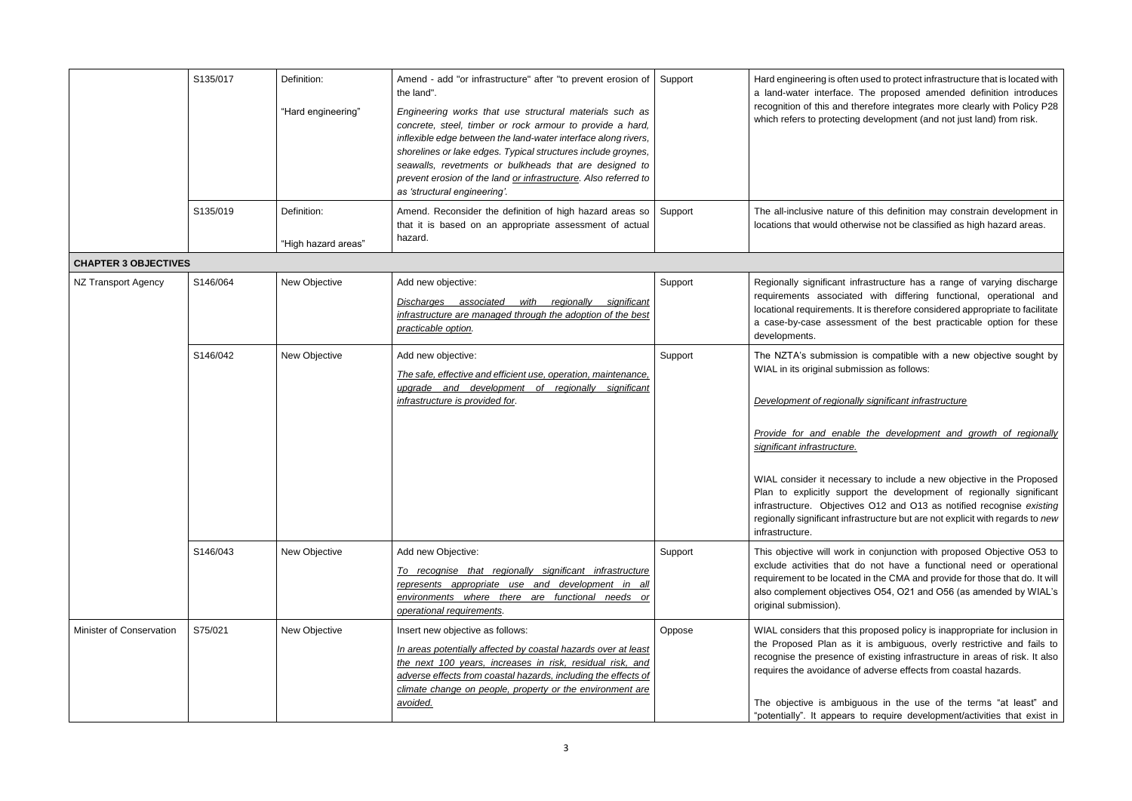In used to protect infrastructure that is located with The proposed amended definition introduces therefore integrates more clearly with Policy P28 ng development (and not just land) from risk.

of this definition may constrain development in lerwise not be classified as high hazard areas.

infrastructure has a range of varying discharge red with differing functional, operational and . It is therefore considered appropriate to facilitate sment of the best practicable option for these

on is compatible with a new objective sought by mission as follows:

|                             | S135/017 | Definition:<br>"Hard engineering"  | Amend - add "or infrastructure" after "to prevent erosion of<br>the land".                                                                                                                                                                                                                                                                                                                                           | Support | Hard engineering is ofter<br>a land-water interface.                                                                                                          |
|-----------------------------|----------|------------------------------------|----------------------------------------------------------------------------------------------------------------------------------------------------------------------------------------------------------------------------------------------------------------------------------------------------------------------------------------------------------------------------------------------------------------------|---------|---------------------------------------------------------------------------------------------------------------------------------------------------------------|
|                             |          |                                    |                                                                                                                                                                                                                                                                                                                                                                                                                      |         |                                                                                                                                                               |
|                             |          |                                    | Engineering works that use structural materials such as<br>concrete, steel, timber or rock armour to provide a hard,<br>inflexible edge between the land-water interface along rivers,<br>shorelines or lake edges. Typical structures include groynes,<br>seawalls, revetments or bulkheads that are designed to<br>prevent erosion of the land or infrastructure. Also referred to<br>as 'structural engineering'. |         | recognition of this and th<br>which refers to protecting                                                                                                      |
|                             | S135/019 | Definition:<br>"High hazard areas" | Amend. Reconsider the definition of high hazard areas so<br>that it is based on an appropriate assessment of actual<br>hazard.                                                                                                                                                                                                                                                                                       | Support | The all-inclusive nature<br>locations that would othe                                                                                                         |
| <b>CHAPTER 3 OBJECTIVES</b> |          |                                    |                                                                                                                                                                                                                                                                                                                                                                                                                      |         |                                                                                                                                                               |
| NZ Transport Agency         | S146/064 | New Objective                      | Add new objective:                                                                                                                                                                                                                                                                                                                                                                                                   | Support | Regionally significant in                                                                                                                                     |
|                             |          |                                    | Discharges<br>associated<br>with<br>regionally<br>significant<br>infrastructure are managed through the adoption of the best<br>practicable option.                                                                                                                                                                                                                                                                  |         | requirements associate<br>locational requirements.<br>a case-by-case assess<br>developments.                                                                  |
|                             | S146/042 | New Objective                      | Add new objective:<br>The safe, effective and efficient use, operation, maintenance,<br>upgrade and development of regionally significant<br>infrastructure is provided for.                                                                                                                                                                                                                                         | Support | The NZTA's submission<br>WIAL in its original subm<br>Development of regional                                                                                 |
|                             |          |                                    |                                                                                                                                                                                                                                                                                                                                                                                                                      |         | Provide for and enable<br>significant infrastructure.                                                                                                         |
|                             |          |                                    |                                                                                                                                                                                                                                                                                                                                                                                                                      |         | WIAL consider it necess<br>Plan to explicitly supp<br>infrastructure. Objective<br>regionally significant infra<br>infrastructure.                            |
|                             | S146/043 | New Objective                      | Add new Objective:<br>To recognise that regionally significant infrastructure<br>represents appropriate use and development in all<br>environments where there are functional needs or<br>operational requirements.                                                                                                                                                                                                  | Support | This objective will work<br>exclude activities that<br>requirement to be locate<br>also complement objecti<br>original submission).                           |
| Minister of Conservation    | S75/021  | New Objective                      | Insert new objective as follows:<br>In areas potentially affected by coastal hazards over at least<br>the next 100 years, increases in risk, residual risk, and<br>adverse effects from coastal hazards, including the effects of<br>climate change on people, property or the environment are<br>avoided.                                                                                                           | Oppose  | WIAL considers that this<br>the Proposed Plan as<br>recognise the presence<br>requires the avoidance o<br>The objective is ambig<br>"potentially". It appears |

#### *Development of regionally significant infrastructure*

*Provide for and enable the development and growth of regionally* 

ssary to include a new objective in the Proposed port the development of regionally significant ves O12 and O13 as notified recognise *existing* rastructure but are not explicit with regards to *new* 

in conjunction with proposed Objective O53 to do not have a functional need or operational ed in the CMA and provide for those that do. It will tives O54, O21 and O56 (as amended by WIAL's

is proposed policy is inappropriate for inclusion in it is ambiguous, overly restrictive and fails to of existing infrastructure in areas of risk. It also of adverse effects from coastal hazards.

iguous in the use of the terms "at least" and to require development/activities that exist in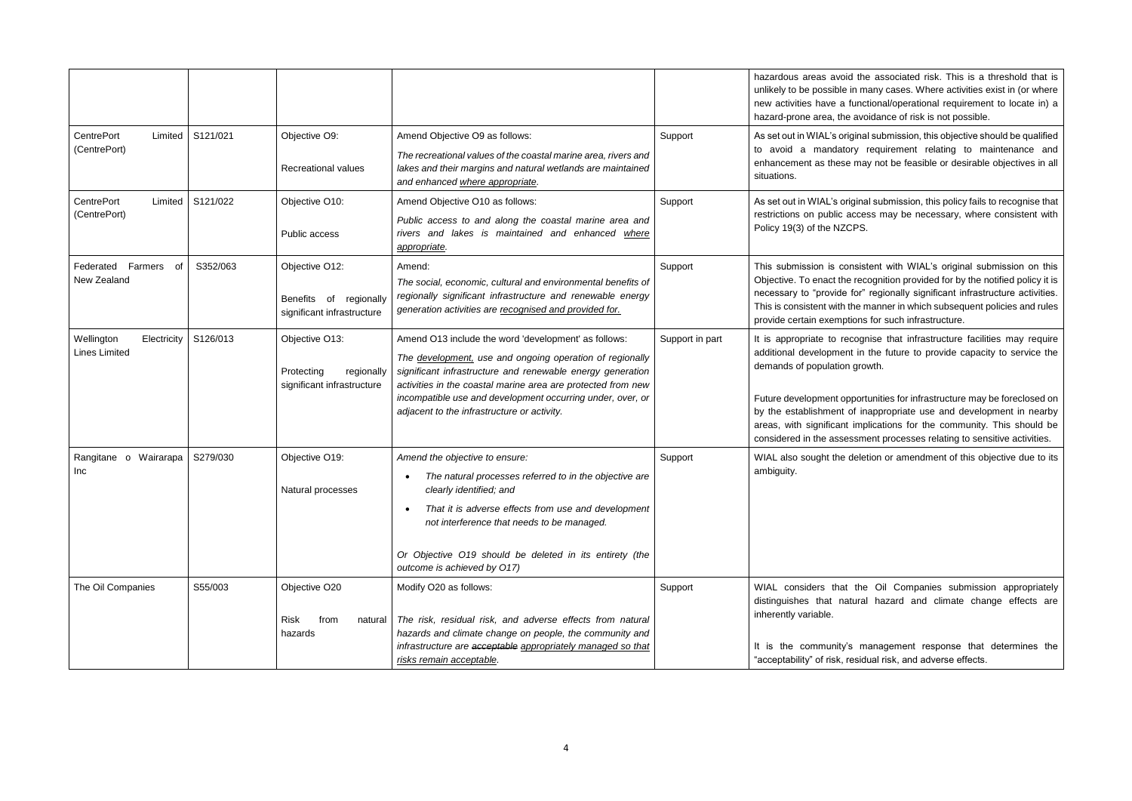the associated risk. This is a threshold that is in many cases. Where activities exist in (or where iunctional/operational requirement to locate in) a avoidance of risk is not possible.

ginal submission, this objective should be qualified ry requirement relating to maintenance and may not be feasible or desirable objectives in all

ginal submission, this policy fails to recognise that recess may be necessary, where consistent with PS.

nsistent with WIAL's original submission on this recognition provided for by the notified policy it is for" regionally significant infrastructure activities. he manner in which subsequent policies and rules ions for such infrastructure.

cognise that infrastructure facilities may require t in the future to provide capacity to service the growth.

portunities for infrastructure may be foreclosed on of inappropriate use and development in nearby implications for the community. This should be ssment processes relating to sensitive activities.

deletion or amendment of this objective due to its

the Oil Companies submission appropriately tural hazard and climate change effects are

management response that determines the esidual risk, and adverse effects.

|                                                   |          |                                                                           |                                                                                                                                                                                                                                                                                                                                                             |                 | hazardous areas avoid<br>unlikely to be possible i<br>new activities have a f<br>hazard-prone area, the                                                                               |
|---------------------------------------------------|----------|---------------------------------------------------------------------------|-------------------------------------------------------------------------------------------------------------------------------------------------------------------------------------------------------------------------------------------------------------------------------------------------------------------------------------------------------------|-----------------|---------------------------------------------------------------------------------------------------------------------------------------------------------------------------------------|
| <b>CentrePort</b><br>Limited<br>(CentrePort)      | S121/021 | Objective O9:<br>Recreational values                                      | Amend Objective O9 as follows:<br>The recreational values of the coastal marine area, rivers and<br>lakes and their margins and natural wetlands are maintained<br>and enhanced where appropriate.                                                                                                                                                          | Support         | As set out in WIAL's orig<br>to avoid a mandator<br>enhancement as these<br>situations.                                                                                               |
| <b>CentrePort</b><br>Limited<br>(CentrePort)      | S121/022 | Objective O10:<br>Public access                                           | Amend Objective O10 as follows:<br>Public access to and along the coastal marine area and<br>rivers and lakes is maintained and enhanced where<br>appropriate.                                                                                                                                                                                              | Support         | As set out in WIAL's orig<br>restrictions on public a<br>Policy 19(3) of the NZC                                                                                                      |
| Farmers<br>Federated<br>of<br>New Zealand         | S352/063 | Objective O12:<br>Benefits of<br>regionally<br>significant infrastructure | Amend:<br>The social, economic, cultural and environmental benefits of<br>regionally significant infrastructure and renewable energy<br>generation activities are recognised and provided for.                                                                                                                                                              | Support         | This submission is cor<br>Objective. To enact the<br>necessary to "provide f<br>This is consistent with th<br>provide certain exempti                                                 |
| Wellington<br>Electricity<br><b>Lines Limited</b> | S126/013 | Objective O13:<br>Protecting<br>regionally<br>significant infrastructure  | Amend O13 include the word 'development' as follows:<br>The development, use and ongoing operation of regionally<br>significant infrastructure and renewable energy generation<br>activities in the coastal marine area are protected from new<br>incompatible use and development occurring under, over, or<br>adjacent to the infrastructure or activity. | Support in part | It is appropriate to red<br>additional development<br>demands of population<br>Future development opp<br>by the establishment o<br>areas, with significant<br>considered in the asses |
| Rangitane o Wairarapa<br>Inc                      | S279/030 | Objective O19:<br>Natural processes                                       | Amend the objective to ensure:<br>The natural processes referred to in the objective are<br>clearly identified; and<br>That it is adverse effects from use and development<br>not interference that needs to be managed.<br>Or Objective O19 should be deleted in its entirety (the<br>outcome is achieved by O17)                                          | Support         | WIAL also sought the d<br>ambiguity.                                                                                                                                                  |
| The Oil Companies                                 | S55/003  | Objective O20<br>Risk<br>from<br>natural<br>hazards                       | Modify O20 as follows:<br>The risk, residual risk, and adverse effects from natural<br>hazards and climate change on people, the community and<br>infrastructure are acceptable appropriately managed so that<br>risks remain acceptable.                                                                                                                   | Support         | WIAL considers that<br>distinguishes that nat<br>inherently variable.<br>It is the community's<br>"acceptability" of risk, re                                                         |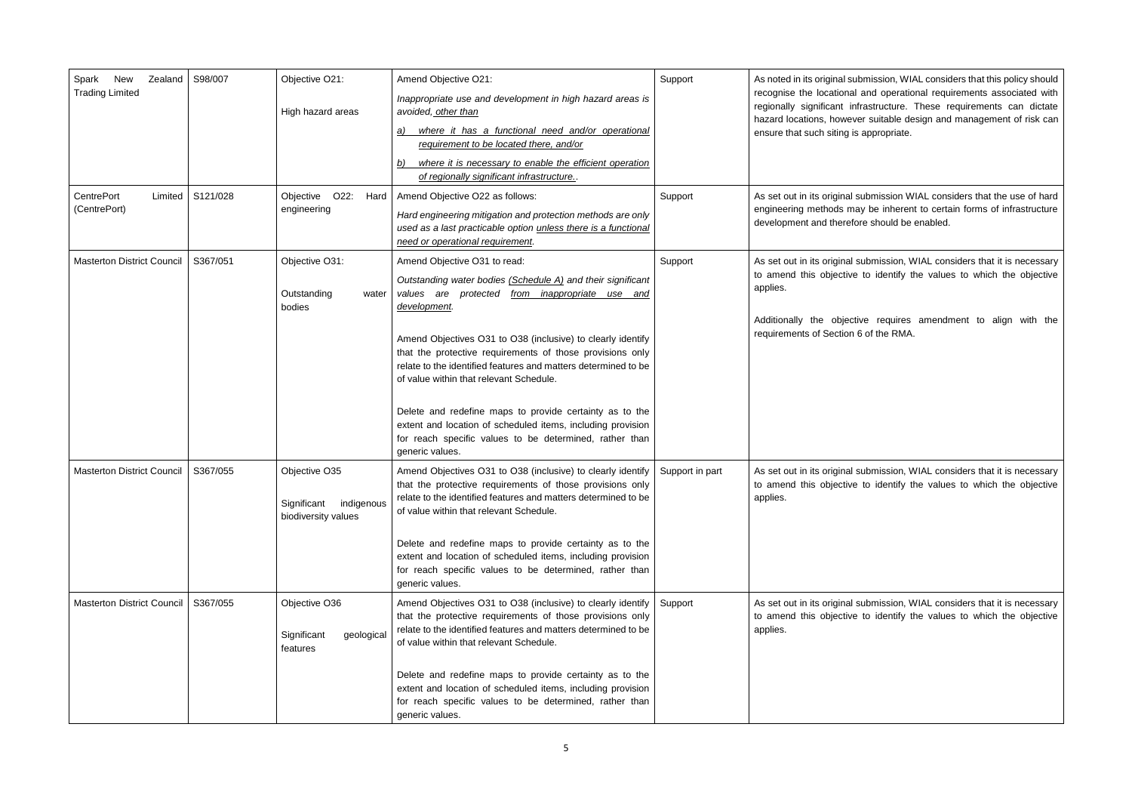submission, WIAL considers that this policy should al and operational requirements associated with infrastructure. These requirements can dictate wer suitable design and management of risk can is appropriate.

I submission WIAL considers that the use of hard nay be inherent to certain forms of infrastructure fore should be enabled.

I submission, WIAL considers that it is necessary to identify the values to which the objective

ctive requires amendment to align with the require RMA.

I submission, WIAL considers that it is necessary to identify the values to which the objective

I submission, WIAL considers that it is necessary to identify the values to which the objective

| Spark<br><b>New</b><br>Zealand<br><b>Trading Limited</b> | S98/007  | Objective O21:<br>High hazard areas                               | Amend Objective O21:<br>Inappropriate use and development in high hazard areas is<br>avoided, other than<br>where it has a functional need and/or operational<br>a)<br>requirement to be located there, and/or<br>where it is necessary to enable the efficient operation<br>b)                                                                                                                                                                                                                                                   | Support         | As noted in its original s<br>recognise the locationa<br>regionally significant in<br>hazard locations, howe<br>ensure that such siting |
|----------------------------------------------------------|----------|-------------------------------------------------------------------|-----------------------------------------------------------------------------------------------------------------------------------------------------------------------------------------------------------------------------------------------------------------------------------------------------------------------------------------------------------------------------------------------------------------------------------------------------------------------------------------------------------------------------------|-----------------|-----------------------------------------------------------------------------------------------------------------------------------------|
| CentrePort<br>Limited<br>(CentrePort)                    | S121/028 | O22:<br>Objective<br>Hard<br>engineering                          | of regionally significant infrastructure<br>Amend Objective O22 as follows:<br>Hard engineering mitigation and protection methods are only<br>used as a last practicable option unless there is a functional<br>need or operational requirement.                                                                                                                                                                                                                                                                                  | Support         | As set out in its original<br>engineering methods m<br>development and theref                                                           |
| <b>Masterton District Council</b>                        | S367/051 | Objective O31:<br>Outstanding<br>water<br>bodies                  | Amend Objective O31 to read:<br>Outstanding water bodies (Schedule A) and their significant<br>values are protected from inappropriate use and<br>development.<br>Amend Objectives O31 to O38 (inclusive) to clearly identify<br>that the protective requirements of those provisions only<br>relate to the identified features and matters determined to be<br>of value within that relevant Schedule.<br>Delete and redefine maps to provide certainty as to the<br>extent and location of scheduled items, including provision | Support         | As set out in its original<br>to amend this objectiv<br>applies.<br>Additionally the objec<br>requirements of Section                   |
| <b>Masterton District Council</b>                        | S367/055 | Objective O35<br>Significant<br>indigenous<br>biodiversity values | for reach specific values to be determined, rather than<br>generic values.<br>Amend Objectives O31 to O38 (inclusive) to clearly identify<br>that the protective requirements of those provisions only<br>relate to the identified features and matters determined to be<br>of value within that relevant Schedule.<br>Delete and redefine maps to provide certainty as to the                                                                                                                                                    | Support in part | As set out in its original<br>to amend this objectiv<br>applies.                                                                        |
| <b>Masterton District Council</b>                        | S367/055 | Objective O36<br>Significant<br>geological<br>features            | extent and location of scheduled items, including provision<br>for reach specific values to be determined, rather than<br>generic values.<br>Amend Objectives O31 to O38 (inclusive) to clearly identify<br>that the protective requirements of those provisions only<br>relate to the identified features and matters determined to be<br>of value within that relevant Schedule.<br>Delete and redefine maps to provide certainty as to the                                                                                     | Support         | As set out in its original<br>to amend this objectiv<br>applies.                                                                        |
|                                                          |          |                                                                   | extent and location of scheduled items, including provision<br>for reach specific values to be determined, rather than<br>generic values.                                                                                                                                                                                                                                                                                                                                                                                         |                 |                                                                                                                                         |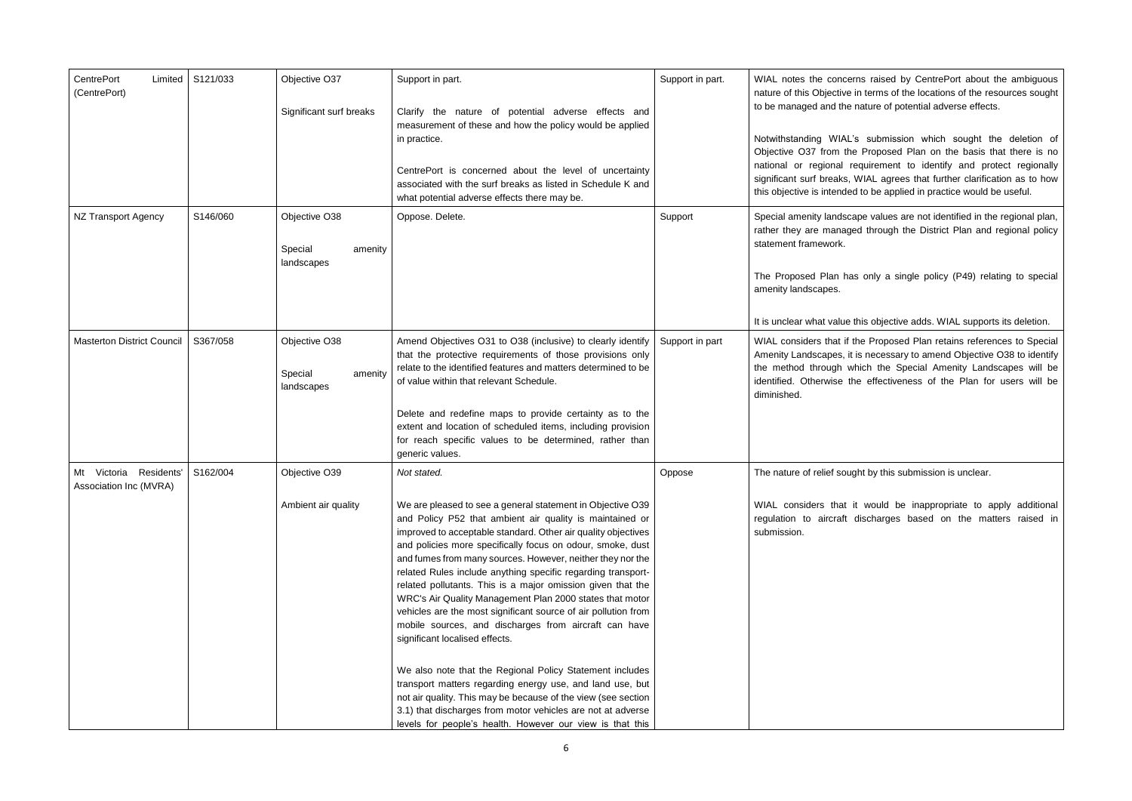erns raised by CentrePort about the ambiguous in terms of the locations of the resources sought nature of potential adverse effects.

's submission which sought the deletion of ne Proposed Plan on the basis that there is no requirement to identify and protect regionally WIAL agrees that further clarification as to how ed to be applied in practice would be useful.

cape values are not identified in the regional plan, red through the District Plan and regional policy

as only a single policy (P49) relating to special

this objective adds. WIAL supports its deletion.

the Proposed Plan retains references to Special t is necessary to amend Objective O38 to identify which the Special Amenity Landscapes will be the effectiveness of the Plan for users will be

ight by this submission is unclear.

it would be inappropriate to apply additional discharges based on the matters raised in

| <b>CentrePort</b><br>Limited<br>(CentrePort)        | S121/033 | Objective O37<br>Significant surf breaks          | Support in part.<br>Clarify the nature of potential adverse effects and<br>measurement of these and how the policy would be applied<br>in practice.                                                                                                                                                                                                                                                                                                                                                                                                                                                                                                                                                                                                                                                                                                                                                                                                                                                              | Support in part. | WIAL notes the conce<br>nature of this Objective<br>to be managed and the<br>Notwithstanding WIAL<br>Objective O37 from th                         |
|-----------------------------------------------------|----------|---------------------------------------------------|------------------------------------------------------------------------------------------------------------------------------------------------------------------------------------------------------------------------------------------------------------------------------------------------------------------------------------------------------------------------------------------------------------------------------------------------------------------------------------------------------------------------------------------------------------------------------------------------------------------------------------------------------------------------------------------------------------------------------------------------------------------------------------------------------------------------------------------------------------------------------------------------------------------------------------------------------------------------------------------------------------------|------------------|----------------------------------------------------------------------------------------------------------------------------------------------------|
|                                                     |          |                                                   | CentrePort is concerned about the level of uncertainty<br>associated with the surf breaks as listed in Schedule K and<br>what potential adverse effects there may be.                                                                                                                                                                                                                                                                                                                                                                                                                                                                                                                                                                                                                                                                                                                                                                                                                                            |                  | national or regional r<br>significant surf breaks,<br>this objective is intende                                                                    |
| <b>NZ Transport Agency</b>                          | S146/060 | Objective O38<br>Special<br>amenity<br>landscapes | Oppose. Delete.                                                                                                                                                                                                                                                                                                                                                                                                                                                                                                                                                                                                                                                                                                                                                                                                                                                                                                                                                                                                  | Support          | Special amenity landsc<br>rather they are manag<br>statement framework.<br>The Proposed Plan ha<br>amenity landscapes.<br>It is unclear what value |
| <b>Masterton District Council</b>                   | S367/058 | Objective O38<br>Special<br>amenity<br>landscapes | Amend Objectives O31 to O38 (inclusive) to clearly identify<br>that the protective requirements of those provisions only<br>relate to the identified features and matters determined to be<br>of value within that relevant Schedule.<br>Delete and redefine maps to provide certainty as to the<br>extent and location of scheduled items, including provision<br>for reach specific values to be determined, rather than<br>generic values.                                                                                                                                                                                                                                                                                                                                                                                                                                                                                                                                                                    | Support in part  | WIAL considers that if<br>Amenity Landscapes, it<br>the method through w<br>identified. Otherwise tl<br>diminished.                                |
| Residents'<br>Mt Victoria<br>Association Inc (MVRA) | S162/004 | Objective O39<br>Ambient air quality              | Not stated.<br>We are pleased to see a general statement in Objective O39<br>and Policy P52 that ambient air quality is maintained or<br>improved to acceptable standard. Other air quality objectives<br>and policies more specifically focus on odour, smoke, dust<br>and fumes from many sources. However, neither they nor the<br>related Rules include anything specific regarding transport-<br>related pollutants. This is a major omission given that the<br>WRC's Air Quality Management Plan 2000 states that motor<br>vehicles are the most significant source of air pollution from<br>mobile sources, and discharges from aircraft can have<br>significant localised effects.<br>We also note that the Regional Policy Statement includes<br>transport matters regarding energy use, and land use, but<br>not air quality. This may be because of the view (see section<br>3.1) that discharges from motor vehicles are not at adverse<br>levels for people's health. However our view is that this | Oppose           | The nature of relief sou<br>WIAL considers that<br>regulation to aircraft<br>submission.                                                           |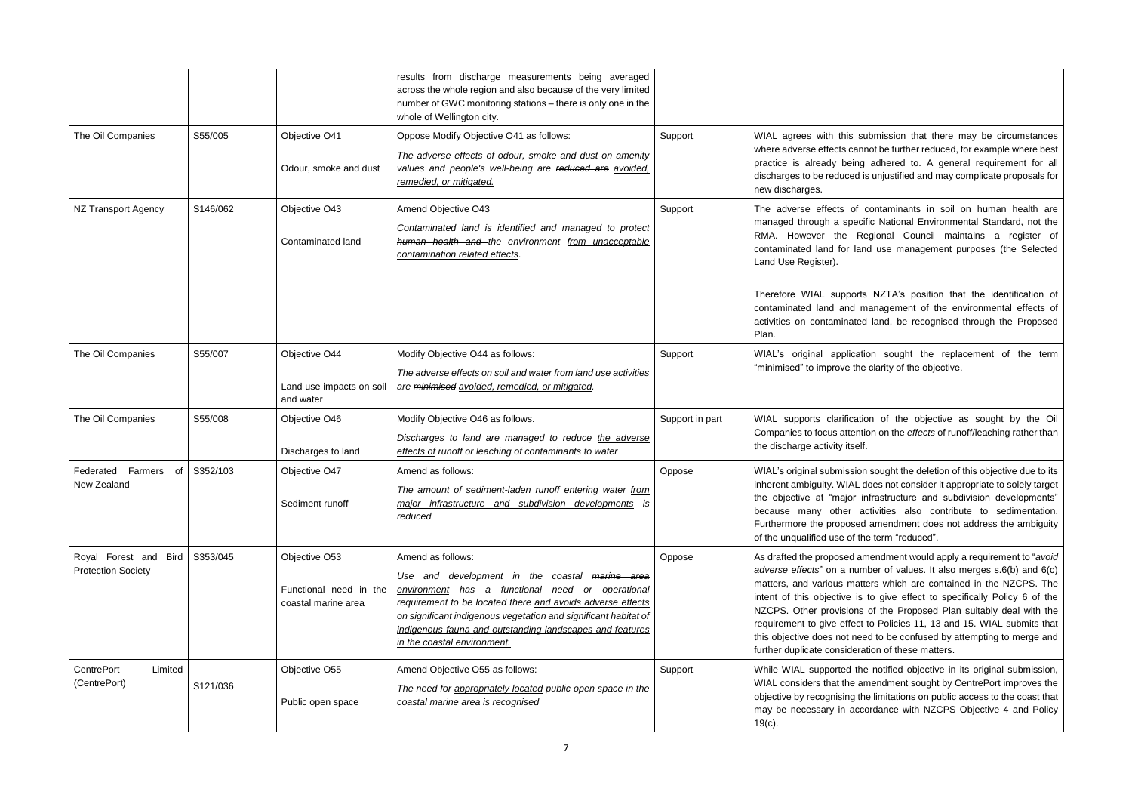submission that there may be circumstances cannot be further reduced, for example where best ing adhered to. A general requirement for all ed is unjustified and may complicate proposals for

of contaminants in soil on human health are ecific National Environmental Standard, not the Regional Council maintains a register of land use management purposes (the Selected

orts NZTA's position that the identification of d management of the environmental effects of ated land, be recognised through the Proposed

cation sought the replacement of the term the clarity of the objective.

cation of the objective as sought by the Oil ention on the *effects* of runoff/leaching rather than self.

sion sought the deletion of this objective due to its AL does not consider it appropriate to solely target or infrastructure and subdivision developments" activities also contribute to sedimentation. sed amendment does not address the ambiguity of the term "reduced".

d amendment would apply a requirement to "*avoid* adverse of values. It also merges s.6(b) and 6(c) natters which are contained in the NZCPS. The is to give effect to specifically Policy 6 of the ons of the Proposed Plan suitably deal with the ect to Policies 11, 13 and 15. WIAL submits that need to be confused by attempting to merge and leration of these matters.

the notified objective in its original submission, e amendment sought by CentrePort improves the q the limitations on public access to the coast that accordance with NZCPS Objective 4 and Policy

|                                                    |          |                                                                | results from discharge measurements being averaged<br>across the whole region and also because of the very limited<br>number of GWC monitoring stations - there is only one in the<br>whole of Wellington city.                                                                                                                                     |                 |                                                                                                                                                                                                                      |
|----------------------------------------------------|----------|----------------------------------------------------------------|-----------------------------------------------------------------------------------------------------------------------------------------------------------------------------------------------------------------------------------------------------------------------------------------------------------------------------------------------------|-----------------|----------------------------------------------------------------------------------------------------------------------------------------------------------------------------------------------------------------------|
| The Oil Companies                                  | S55/005  | Objective O41<br>Odour, smoke and dust                         | Oppose Modify Objective O41 as follows:<br>The adverse effects of odour, smoke and dust on amenity<br>values and people's well-being are reduced are avoided,<br>remedied, or mitigated.                                                                                                                                                            | Support         | WIAL agrees with this<br>where adverse effects c<br>practice is already be<br>discharges to be reduce<br>new discharges.                                                                                             |
| <b>NZ Transport Agency</b>                         | S146/062 | Objective O43<br>Contaminated land                             | Amend Objective O43<br>Contaminated land is identified and managed to protect<br>human health and the environment from unacceptable<br>contamination related effects.                                                                                                                                                                               | Support         | The adverse effects o<br>managed through a sp<br>RMA. However the<br>contaminated land for<br>Land Use Register).<br>Therefore WIAL suppo<br>contaminated land and<br>activities on contamina<br>Plan.               |
| The Oil Companies                                  | S55/007  | Objective O44<br>Land use impacts on soil<br>and water         | Modify Objective O44 as follows:<br>The adverse effects on soil and water from land use activities<br>are minimised avoided, remedied, or mitigated.                                                                                                                                                                                                | Support         | WIAL's original applio<br>"minimised" to improve                                                                                                                                                                     |
| The Oil Companies                                  | S55/008  | Objective O46<br>Discharges to land                            | Modify Objective O46 as follows.<br>Discharges to land are managed to reduce the adverse<br>effects of runoff or leaching of contaminants to water                                                                                                                                                                                                  | Support in part | WIAL supports clarific<br>Companies to focus atte<br>the discharge activity its                                                                                                                                      |
| Federated Farmers<br>0f<br>New Zealand             | S352/103 | Objective O47<br>Sediment runoff                               | Amend as follows:<br>The amount of sediment-laden runoff entering water from<br>major infrastructure and subdivision developments is<br>reduced                                                                                                                                                                                                     | Oppose          | WIAL's original submiss<br>inherent ambiguity. WIA<br>the objective at "majo<br>because many other<br>Furthermore the propos<br>of the unqualified use of                                                            |
| Royal Forest and Bird<br><b>Protection Society</b> | S353/045 | Objective O53<br>Functional need in the<br>coastal marine area | Amend as follows:<br>Use and development in the coastal marine area<br>environment has a functional need or operational<br>requirement to be located there and avoids adverse effects<br>on significant indigenous vegetation and significant habitat of<br>indigenous fauna and outstanding landscapes and features<br>in the coastal environment. | Oppose          | As drafted the proposed<br>adverse effects" on a n<br>matters, and various m<br>intent of this objective<br>NZCPS. Other provisio<br>requirement to give effe<br>this objective does not<br>further duplicate consid |
| CentrePort<br>Limited<br>(CentrePort)              | S121/036 | Objective O55<br>Public open space                             | Amend Objective O55 as follows:<br>The need for appropriately located public open space in the<br>coastal marine area is recognised                                                                                                                                                                                                                 | Support         | While WIAL supported<br>WIAL considers that the<br>objective by recognising<br>may be necessary in a<br>$19(c)$ .                                                                                                    |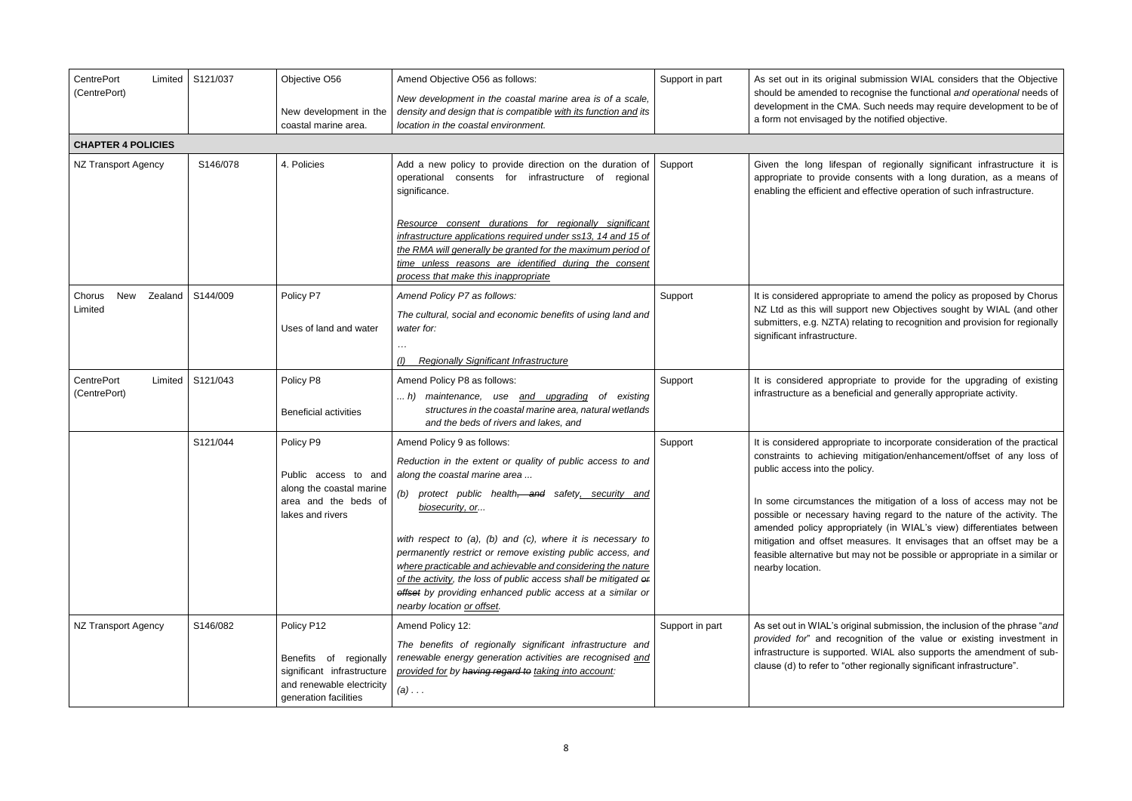al submission WIAL considers that the Objective recognise the functional and operational needs of IA. Such needs may require development to be of y the notified objective.

an of regionally significant infrastructure it is consents with a long duration, as a means of nd effective operation of such infrastructure.

riate to amend the policy as proposed by Chorus port new Objectives sought by WIAL (and other relating to recognition and provision for regionally

ppriate to provide for the upgrading of existing eficial and generally appropriate activity.

riate to incorporate consideration of the practical g mitigation/enhancement/offset of any loss of policy.

the mitigation of a loss of access may not be having regard to the nature of the activity. The priately (in WIAL's view) differentiates between neasures. It envisages that an offset may be a may not be possible or appropriate in a similar or

ginal submission, the inclusion of the phrase "and ognition of the value or existing investment in rted. WIAL also supports the amendment of subther regionally significant infrastructure".

| CentrePort<br>Limited                               | S121/037 | Objective O56                                                                                                                                                                                                                                                                          | Amend Objective O56 as follows:                                                                                                                                                                                                                                                                                                                                 | Support in part | As set out in its original                                                                                          |
|-----------------------------------------------------|----------|----------------------------------------------------------------------------------------------------------------------------------------------------------------------------------------------------------------------------------------------------------------------------------------|-----------------------------------------------------------------------------------------------------------------------------------------------------------------------------------------------------------------------------------------------------------------------------------------------------------------------------------------------------------------|-----------------|---------------------------------------------------------------------------------------------------------------------|
| (CentrePort)                                        |          | New development in the<br>coastal marine area.                                                                                                                                                                                                                                         | New development in the coastal marine area is of a scale,<br>density and design that is compatible with its function and its<br>location in the coastal environment.                                                                                                                                                                                            |                 | should be amended to re<br>development in the CMA<br>a form not envisaged by                                        |
| <b>CHAPTER 4 POLICIES</b>                           |          |                                                                                                                                                                                                                                                                                        |                                                                                                                                                                                                                                                                                                                                                                 |                 |                                                                                                                     |
| S146/078<br>NZ Transport Agency                     |          | 4. Policies                                                                                                                                                                                                                                                                            | Add a new policy to provide direction on the duration of<br>operational consents for infrastructure of regional<br>significance.                                                                                                                                                                                                                                | Support         | Given the long lifespar<br>appropriate to provide c<br>enabling the efficient and                                   |
|                                                     |          | Resource consent durations for regionally significant<br>infrastructure applications required under ss13, 14 and 15 of<br>the RMA will generally be granted for the maximum period of<br>time unless reasons are identified during the consent<br>process that make this inappropriate |                                                                                                                                                                                                                                                                                                                                                                 |                 |                                                                                                                     |
| Chorus<br>New<br>Zealand<br>Limited                 | S144/009 | Policy P7<br>Uses of land and water                                                                                                                                                                                                                                                    | Amend Policy P7 as follows:<br>The cultural, social and economic benefits of using land and<br>water for:                                                                                                                                                                                                                                                       | Support         | It is considered appropria<br>NZ Ltd as this will suppo<br>submitters, e.g. NZTA) re<br>significant infrastructure. |
|                                                     |          |                                                                                                                                                                                                                                                                                        | <b>Regionally Significant Infrastructure</b>                                                                                                                                                                                                                                                                                                                    |                 |                                                                                                                     |
| S121/043<br>CentrePort<br>Limited  <br>(CentrePort) |          | Policy P8<br><b>Beneficial activities</b>                                                                                                                                                                                                                                              | Amend Policy P8 as follows:<br>maintenance, use and upgrading of existing<br>$h$ )<br>structures in the coastal marine area, natural wetlands<br>and the beds of rivers and lakes, and                                                                                                                                                                          | Support         | It is considered approp<br>infrastructure as a benefi                                                               |
|                                                     | S121/044 | Policy P9<br>Public access to and                                                                                                                                                                                                                                                      | Amend Policy 9 as follows:<br>Reduction in the extent or quality of public access to and<br>along the coastal marine area                                                                                                                                                                                                                                       | Support         | It is considered appropria<br>constraints to achieving<br>public access into the po                                 |
|                                                     |          | along the coastal marine<br>area and the beds of<br>lakes and rivers                                                                                                                                                                                                                   | (b) protect public health, and safety, security and<br>biosecurity, or                                                                                                                                                                                                                                                                                          |                 | In some circumstances<br>possible or necessary h<br>amended policy appropr                                          |
|                                                     |          |                                                                                                                                                                                                                                                                                        | with respect to $(a)$ , $(b)$ and $(c)$ , where it is necessary to<br>permanently restrict or remove existing public access, and<br>where practicable and achievable and considering the nature<br>of the activity, the loss of public access shall be mitigated or<br>offset by providing enhanced public access at a similar or<br>nearby location or offset. |                 | mitigation and offset me<br>feasible alternative but m<br>nearby location.                                          |
| <b>NZ Transport Agency</b>                          | S146/082 | Policy P12<br>Benefits of regionally<br>significant infrastructure<br>and renewable electricity<br>generation facilities                                                                                                                                                               | Amend Policy 12:<br>The benefits of regionally significant infrastructure and<br>renewable energy generation activities are recognised and<br>provided for by having regard to taking into account:<br>$(a) \ldots$                                                                                                                                             | Support in part | As set out in WIAL's origi<br>provided for" and recog<br>infrastructure is supporte<br>clause (d) to refer to "oth  |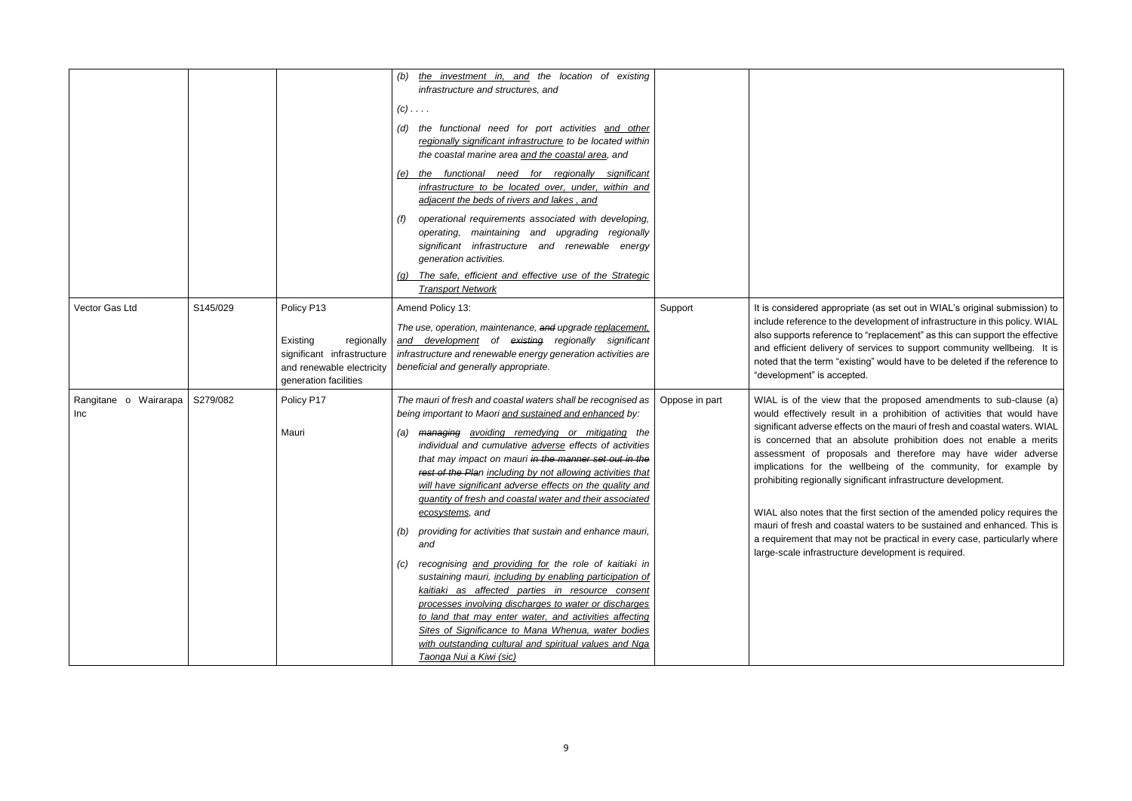priate (as set out in WIAL's original submission) to development of infrastructure in this policy. WIAL e to "replacement" as this can support the effective of services to support community wellbeing. It is isting" would have to be deleted if the reference to oted.

hat the proposed amendments to sub-clause (a) ult in a prohibition of activities that would have ects on the mauri of fresh and coastal waters. WIAL absolute prohibition does not enable a merits bsals and therefore may have wider adverse wellbeing of the community, for example by ignificant infrastructure development.

he first section of the amended policy requires the istal waters to be sustained and enhanced. This is  $\alpha$  not be practical in every case, particularly where are development is required.

|                              |          |                                                                                                                          | the investment in, and the location of existing<br>(b)<br>infrastructure and structures, and<br>$(C)$                                                                                                                                                                                                                                                                                                                                                                                                                                                                                                                                                                                                                                                                                                                                                                                                                                                                                                                                |                |                                                                                                                                                                                                                                                                                              |
|------------------------------|----------|--------------------------------------------------------------------------------------------------------------------------|--------------------------------------------------------------------------------------------------------------------------------------------------------------------------------------------------------------------------------------------------------------------------------------------------------------------------------------------------------------------------------------------------------------------------------------------------------------------------------------------------------------------------------------------------------------------------------------------------------------------------------------------------------------------------------------------------------------------------------------------------------------------------------------------------------------------------------------------------------------------------------------------------------------------------------------------------------------------------------------------------------------------------------------|----------------|----------------------------------------------------------------------------------------------------------------------------------------------------------------------------------------------------------------------------------------------------------------------------------------------|
|                              |          |                                                                                                                          | the functional need for port activities and other<br>(d)<br>regionally significant infrastructure to be located within<br>the coastal marine area and the coastal area, and                                                                                                                                                                                                                                                                                                                                                                                                                                                                                                                                                                                                                                                                                                                                                                                                                                                          |                |                                                                                                                                                                                                                                                                                              |
|                              |          |                                                                                                                          | functional need for regionally significant<br>the<br>(e)<br>infrastructure to be located over, under, within and<br>adjacent the beds of rivers and lakes, and                                                                                                                                                                                                                                                                                                                                                                                                                                                                                                                                                                                                                                                                                                                                                                                                                                                                       |                |                                                                                                                                                                                                                                                                                              |
|                              |          |                                                                                                                          | operational requirements associated with developing,<br>(f)<br>operating, maintaining and upgrading regionally<br>significant infrastructure and renewable energy<br>generation activities.<br>The safe, efficient and effective use of the Strategic<br>(G)<br><b>Transport Network</b>                                                                                                                                                                                                                                                                                                                                                                                                                                                                                                                                                                                                                                                                                                                                             |                |                                                                                                                                                                                                                                                                                              |
| Vector Gas Ltd               | S145/029 | Policy P13<br>Existing<br>regionally<br>significant infrastructure<br>and renewable electricity<br>generation facilities | Amend Policy 13:<br>The use, operation, maintenance, and upgrade replacement,<br>and development of existing regionally significant<br>infrastructure and renewable energy generation activities are<br>beneficial and generally appropriate.                                                                                                                                                                                                                                                                                                                                                                                                                                                                                                                                                                                                                                                                                                                                                                                        | Support        | It is considered approp<br>include reference to the<br>also supports reference<br>and efficient delivery o<br>noted that the term "exi<br>"development" is accep                                                                                                                             |
| Rangitane o Wairarapa<br>Inc | S279/082 | Policy P17<br>Mauri                                                                                                      | The mauri of fresh and coastal waters shall be recognised as<br>being important to Maori and sustained and enhanced by:<br>managing avoiding remedying or mitigating the<br>(a)<br>individual and cumulative adverse effects of activities<br>that may impact on mauri in the manner set out in the<br>rest of the Plan including by not allowing activities that<br>will have significant adverse effects on the quality and<br>quantity of fresh and coastal water and their associated<br>ecosystems, and<br>providing for activities that sustain and enhance mauri,<br>(b)<br>and<br>recognising and providing for the role of kaitiaki in<br>(C)<br>sustaining mauri, including by enabling participation of<br>kaitiaki as affected parties in resource consent<br>processes involving discharges to water or discharges<br>to land that may enter water, and activities affecting<br>Sites of Significance to Mana Whenua, water bodies<br>with outstanding cultural and spiritual values and Nga<br>Taonga Nui a Kiwi (sic) | Oppose in part | WIAL is of the view th<br>would effectively resu<br>significant adverse effe<br>is concerned that an<br>assessment of propo<br>implications for the<br>prohibiting regionally si<br>WIAL also notes that th<br>mauri of fresh and coas<br>a requirement that may<br>large-scale infrastructu |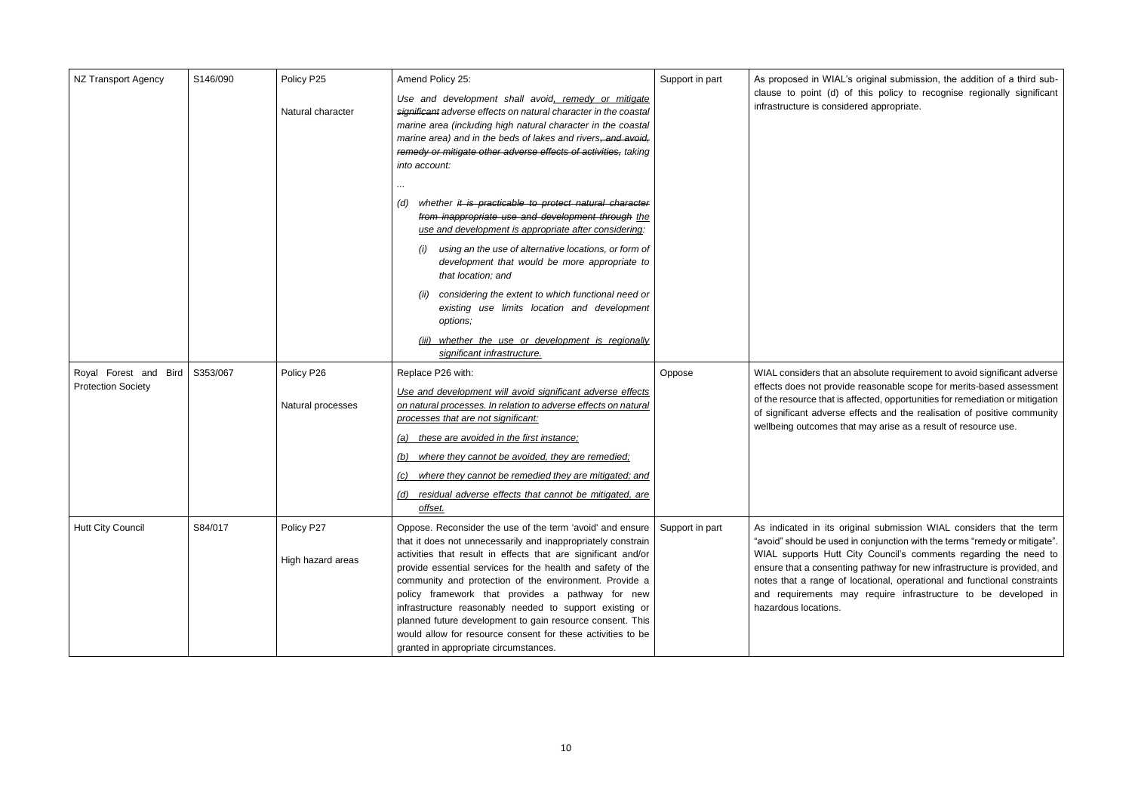s original submission, the addition of a third subthis policy to recognise regionally significant ered appropriate.

 $\alpha$  absolute requirement to avoid significant adverse le reasonable scope for merits-based assessment affected, opportunities for remediation or mitigation effects and the realisation of positive community at may arise as a result of resource use.

ginal submission WIAL considers that the term in conjunction with the terms "remedy or mitigate". City Council's comments regarding the need to ng pathway for new infrastructure is provided, and locational, operational and functional constraints ay require infrastructure to be developed in

| NZ Transport Agency       | S146/090 | Policy P25                      | Amend Policy 25:                                                                                                                                                                                                                                                                                                                                                                                                                   | Support in part | As proposed in WIAL's                                                                                                                                                           |
|---------------------------|----------|---------------------------------|------------------------------------------------------------------------------------------------------------------------------------------------------------------------------------------------------------------------------------------------------------------------------------------------------------------------------------------------------------------------------------------------------------------------------------|-----------------|---------------------------------------------------------------------------------------------------------------------------------------------------------------------------------|
|                           |          | Natural character               | Use and development shall avoid, remedy or mitigate<br>significant adverse effects on natural character in the coastal<br>marine area (including high natural character in the coastal<br>marine area) and in the beds of lakes and rivers, and avoid,<br>remedy or mitigate other adverse effects of activities, taking<br>into account:                                                                                          |                 | clause to point (d) of<br>infrastructure is conside                                                                                                                             |
|                           |          |                                 | whether it is practicable to protect natural character<br>(d)<br>from inappropriate use and development through the<br>use and development is appropriate after considering:                                                                                                                                                                                                                                                       |                 |                                                                                                                                                                                 |
|                           |          |                                 | using an the use of alternative locations, or form of<br>(i)<br>development that would be more appropriate to<br>that location; and                                                                                                                                                                                                                                                                                                |                 |                                                                                                                                                                                 |
|                           |          |                                 | considering the extent to which functional need or<br>existing use limits location and development<br>options;                                                                                                                                                                                                                                                                                                                     |                 |                                                                                                                                                                                 |
|                           |          |                                 | (iii) whether the use or development is regionally<br>significant infrastructure.                                                                                                                                                                                                                                                                                                                                                  |                 |                                                                                                                                                                                 |
| Royal Forest and Bird     | S353/067 | Policy P26                      | Replace P26 with:                                                                                                                                                                                                                                                                                                                                                                                                                  | Oppose          | WIAL considers that an                                                                                                                                                          |
| <b>Protection Society</b> |          | Natural processes               | Use and development will avoid significant adverse effects<br>on natural processes. In relation to adverse effects on natural<br>processes that are not significant:                                                                                                                                                                                                                                                               |                 | effects does not provide<br>of the resource that is a<br>of significant adverse e                                                                                               |
|                           |          |                                 | these are avoided in the first instance;<br>(a)                                                                                                                                                                                                                                                                                                                                                                                    |                 | wellbeing outcomes tha                                                                                                                                                          |
|                           |          |                                 | where they cannot be avoided, they are remedied;<br>(b)                                                                                                                                                                                                                                                                                                                                                                            |                 |                                                                                                                                                                                 |
|                           |          |                                 | where they cannot be remedied they are mitigated; and<br>(C)                                                                                                                                                                                                                                                                                                                                                                       |                 |                                                                                                                                                                                 |
|                           |          |                                 | (d) residual adverse effects that cannot be mitigated, are<br>offset.                                                                                                                                                                                                                                                                                                                                                              |                 |                                                                                                                                                                                 |
| <b>Hutt City Council</b>  | S84/017  | Policy P27<br>High hazard areas | Oppose. Reconsider the use of the term 'avoid' and ensure<br>that it does not unnecessarily and inappropriately constrain<br>activities that result in effects that are significant and/or<br>provide essential services for the health and safety of the<br>community and protection of the environment. Provide a<br>policy framework that provides a pathway for new<br>infrastructure reasonably needed to support existing or | Support in part | As indicated in its orig<br>"avoid" should be used<br>WIAL supports Hutt C<br>ensure that a consentin<br>notes that a range of I<br>and requirements ma<br>hazardous locations. |
|                           |          |                                 | planned future development to gain resource consent. This<br>would allow for resource consent for these activities to be<br>granted in appropriate circumstances.                                                                                                                                                                                                                                                                  |                 |                                                                                                                                                                                 |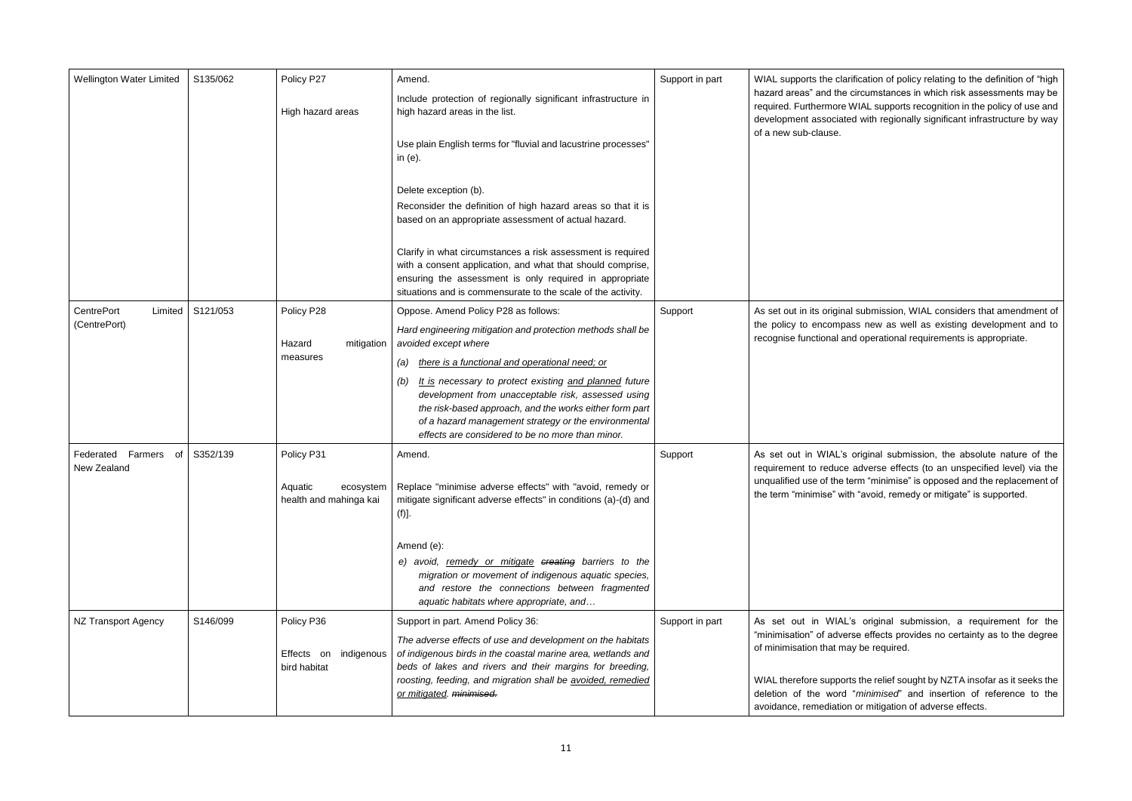ification of policy relating to the definition of "high circumstances in which risk assessments may be WIAL supports recognition in the policy of use and d with regionally significant infrastructure by way

I submission, WIAL considers that amendment of ss new as well as existing development and to d operational requirements is appropriate.

original submission, the absolute nature of the adverse effects (to an unspecified level) via the erm "minimise" is opposed and the replacement of h "avoid, remedy or mitigate" is supported.

s original submission, a requirement for the se effects provides no certainty as to the degree y be required.

ts the relief sought by NZTA insofar as it seeks the "minimised" and insertion of reference to the or mitigation of adverse effects.

| Wellington Water Limited                  | S135/062 | Policy P27<br>High hazard areas                              | Amend.<br>Include protection of regionally significant infrastructure in<br>high hazard areas in the list.                                                                                                                                                                                                                                                                                                                                                                         | Support in part | WIAL supports the clari<br>hazard areas" and the o<br>required. Furthermore V                                                                            |
|-------------------------------------------|----------|--------------------------------------------------------------|------------------------------------------------------------------------------------------------------------------------------------------------------------------------------------------------------------------------------------------------------------------------------------------------------------------------------------------------------------------------------------------------------------------------------------------------------------------------------------|-----------------|----------------------------------------------------------------------------------------------------------------------------------------------------------|
|                                           |          |                                                              | Use plain English terms for "fluvial and lacustrine processes"<br>in $(e)$ .                                                                                                                                                                                                                                                                                                                                                                                                       |                 | development associate<br>of a new sub-clause.                                                                                                            |
|                                           |          |                                                              | Delete exception (b).<br>Reconsider the definition of high hazard areas so that it is<br>based on an appropriate assessment of actual hazard.                                                                                                                                                                                                                                                                                                                                      |                 |                                                                                                                                                          |
|                                           |          |                                                              | Clarify in what circumstances a risk assessment is required<br>with a consent application, and what that should comprise,<br>ensuring the assessment is only required in appropriate<br>situations and is commensurate to the scale of the activity.                                                                                                                                                                                                                               |                 |                                                                                                                                                          |
| CentrePort<br>Limited<br>(CentrePort)     | S121/053 | Policy P28<br>Hazard<br>mitigation<br>measures               | Oppose. Amend Policy P28 as follows:<br>Hard engineering mitigation and protection methods shall be<br>avoided except where<br>there is a functional and operational need; or<br>(a)<br>It is necessary to protect existing and planned future<br>(b)<br>development from unacceptable risk, assessed using<br>the risk-based approach, and the works either form part<br>of a hazard management strategy or the environmental<br>effects are considered to be no more than minor. | Support         | As set out in its original<br>the policy to encompas<br>recognise functional and                                                                         |
| Farmers<br>Federated<br>0f<br>New Zealand | S352/139 | Policy P31<br>Aquatic<br>ecosystem<br>health and mahinga kai | Amend.<br>Replace "minimise adverse effects" with "avoid, remedy or<br>mitigate significant adverse effects" in conditions (a)-(d) and<br>$(f)$ .<br>Amend (e):<br>e) avoid, remedy or mitigate creating barriers to the<br>migration or movement of indigenous aquatic species,<br>and restore the connections between fragmented<br>aquatic habitats where appropriate, and                                                                                                      | Support         | As set out in WIAL's<br>requirement to reduce<br>unqualified use of the te<br>the term "minimise" with                                                   |
| NZ Transport Agency                       | S146/099 | Policy P36<br>Effects on<br>indigenous<br>bird habitat       | Support in part. Amend Policy 36:<br>The adverse effects of use and development on the habitats<br>of indigenous birds in the coastal marine area, wetlands and<br>beds of lakes and rivers and their margins for breeding,<br>roosting, feeding, and migration shall be avoided, remedied<br>or mitigated. minimised.                                                                                                                                                             | Support in part | As set out in WIAL's<br>"minimisation" of advers<br>of minimisation that may<br>WIAL therefore support<br>deletion of the word<br>avoidance, remediation |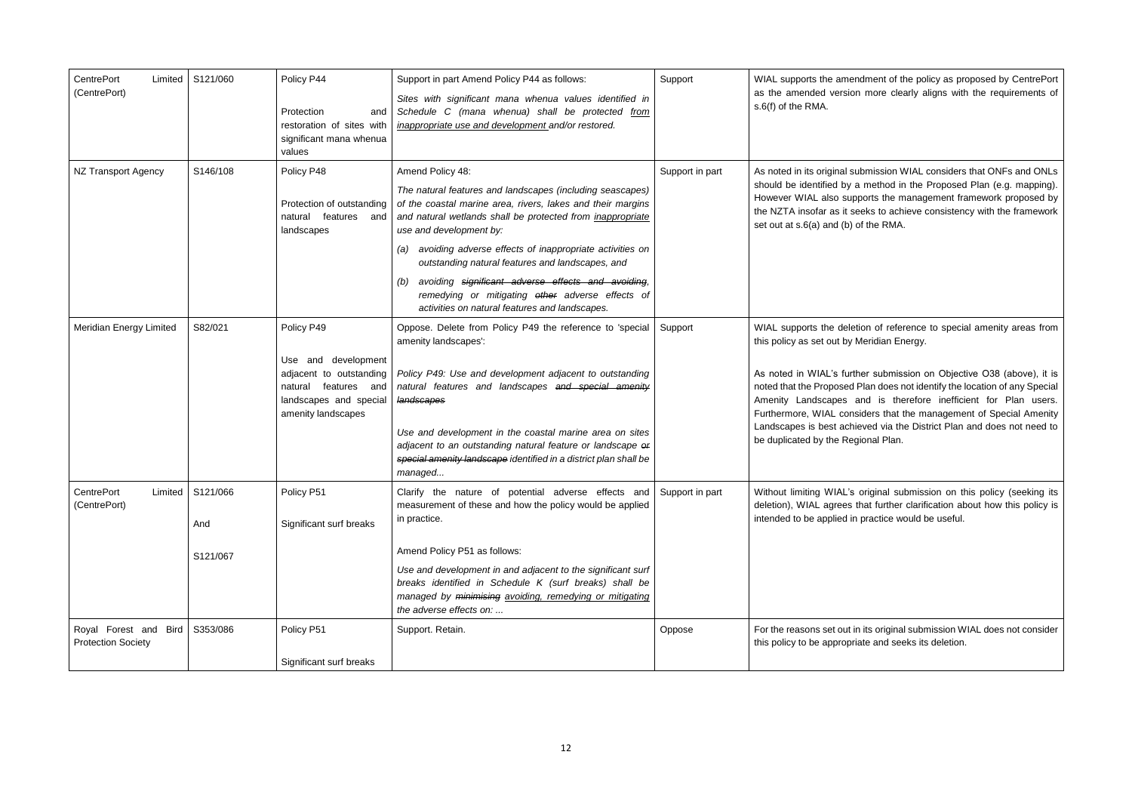endment of the policy as proposed by CentrePort on more clearly aligns with the requirements of

submission WIAL considers that ONFs and ONLs a method in the Proposed Plan (e.g. mapping). ipports the management framework proposed by seeks to achieve consistency with the framework of the RMA.

etion of reference to special amenity areas from / Meridian Energy.

rther submission on Objective O38 (above), it is d Plan does not identify the location of any Special and is therefore inefficient for Plan users. nsiders that the management of Special Amenity hieved via the District Plan and does not need to egional Plan.

original submission on this policy (seeking its that further clarification about how this policy is in practice would be useful.

in its original submission WIAL does not consider riate and seeks its deletion.

| CentrePort<br>Limited<br>(CentrePort)              | S121/060                    | Policy P44<br>Protection<br>and<br>restoration of sites with<br>significant mana whenua<br>values                                          | Support in part Amend Policy P44 as follows:<br>Sites with significant mana whenua values identified in<br>Schedule C (mana whenua) shall be protected from<br>inappropriate use and development and/or restored.                                                                                                                                                                                                                                                                                                              | Support         | WIAL supports the ame<br>as the amended versid<br>s.6(f) of the RMA.                                                                                                                                         |
|----------------------------------------------------|-----------------------------|--------------------------------------------------------------------------------------------------------------------------------------------|--------------------------------------------------------------------------------------------------------------------------------------------------------------------------------------------------------------------------------------------------------------------------------------------------------------------------------------------------------------------------------------------------------------------------------------------------------------------------------------------------------------------------------|-----------------|--------------------------------------------------------------------------------------------------------------------------------------------------------------------------------------------------------------|
| <b>NZ Transport Agency</b>                         | S146/108                    | Policy P48<br>Protection of outstanding<br>natural<br>features<br>and<br>landscapes                                                        | Amend Policy 48:<br>The natural features and landscapes (including seascapes)<br>of the coastal marine area, rivers, lakes and their margins<br>and natural wetlands shall be protected from inappropriate<br>use and development by:<br>avoiding adverse effects of inappropriate activities on<br>(a)<br>outstanding natural features and landscapes, and<br>avoiding significant adverse effects and avoiding,<br>(b)<br>remedying or mitigating other adverse effects of<br>activities on natural features and landscapes. | Support in part | As noted in its original s<br>should be identified by<br>However WIAL also su<br>the NZTA insofar as it s<br>set out at $s.6(a)$ and (b)                                                                     |
| Meridian Energy Limited                            | S82/021                     | Policy P49<br>Use and development<br>adjacent to outstanding<br>natural<br>features<br>and<br>landscapes and special<br>amenity landscapes | Oppose. Delete from Policy P49 the reference to 'special<br>amenity landscapes':<br>Policy P49: Use and development adjacent to outstanding<br>natural features and landscapes and special amenity<br><b>landscapes</b><br>Use and development in the coastal marine area on sites<br>adjacent to an outstanding natural feature or landscape or<br>special amenity landscape identified in a district plan shall be<br>managed                                                                                                | Support         | WIAL supports the dele<br>this policy as set out by<br>As noted in WIAL's fur<br>noted that the Proposed<br>Amenity Landscapes<br>Furthermore, WIAL cor<br>Landscapes is best ach<br>be duplicated by the Re |
| Limited<br>CentrePort<br>(CentrePort)              | S121/066<br>And<br>S121/067 | Policy P51<br>Significant surf breaks                                                                                                      | Clarify the nature of potential adverse effects and Support in part<br>measurement of these and how the policy would be applied<br>in practice.<br>Amend Policy P51 as follows:<br>Use and development in and adjacent to the significant surf<br>breaks identified in Schedule K (surf breaks) shall be<br>managed by minimising avoiding, remedying or mitigating<br>the adverse effects on:                                                                                                                                 |                 | Without limiting WIAL's<br>deletion), WIAL agrees<br>intended to be applied i                                                                                                                                |
| Royal Forest and Bird<br><b>Protection Society</b> | S353/086                    | Policy P51<br>Significant surf breaks                                                                                                      | Support. Retain.                                                                                                                                                                                                                                                                                                                                                                                                                                                                                                               | Oppose          | For the reasons set out<br>this policy to be approp                                                                                                                                                          |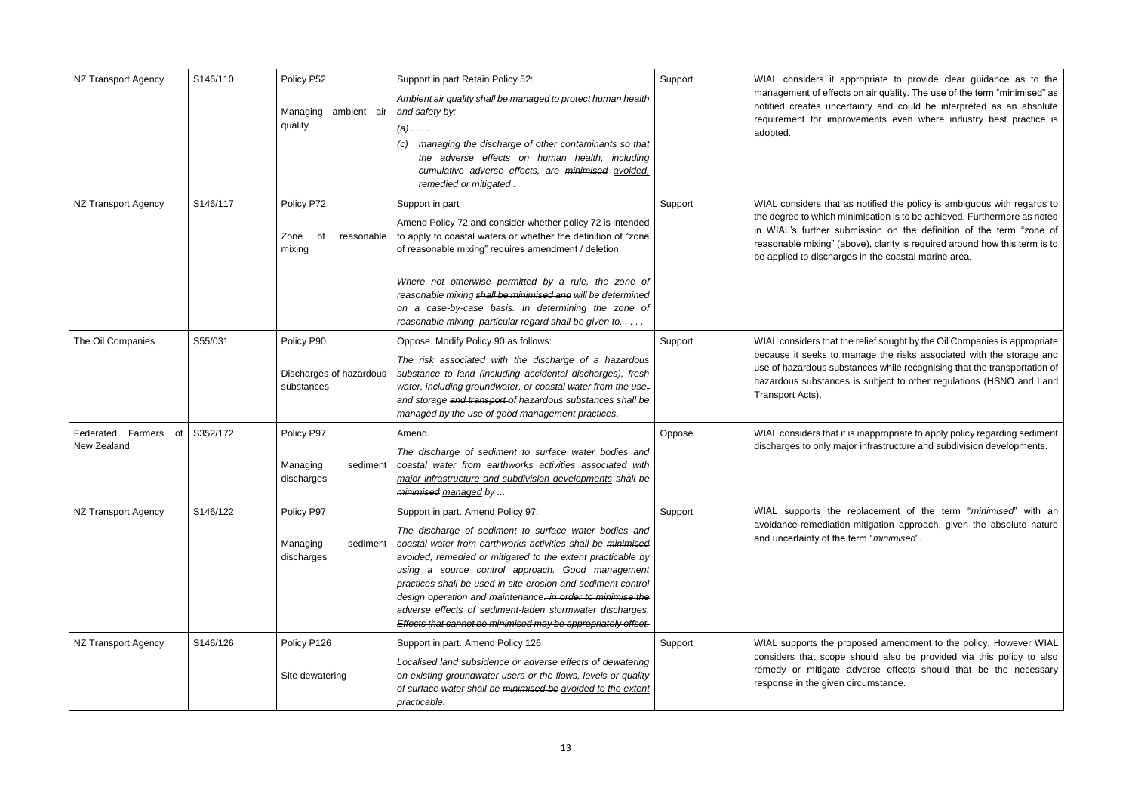ppropriate to provide clear guidance as to the on air quality. The use of the term "minimised" as rtainty and could be interpreted as an absolute byements even where industry best practice is

as notified the policy is ambiguous with regards to nimisation is to be achieved. Furthermore as noted omission on the definition of the term "zone of bove), clarity is required around how this term is to es in the coastal marine area.

e relief sought by the Oil Companies is appropriate anage the risks associated with the storage and tances while recognising that the transportation of is subject to other regulations (HSNO and Land

is inappropriate to apply policy regarding sediment jor infrastructure and subdivision developments.

replacement of the term "*minimised*" with an a-mitigation approach, given the absolute nature term "*minimised*".

oposed amendment to the policy. However WIAL should also be provided via this policy to also adverse effects should that be the necessary circumstance.

| NZ Transport Agency                       | S146/110 | Policy P52<br>ambient air<br>Managing<br>quality    | Support in part Retain Policy 52:<br>Ambient air quality shall be managed to protect human health<br>and safety by:<br>(a) $\ldots$ .<br>managing the discharge of other contaminants so that<br>(C)<br>the adverse effects on human health, including<br>cumulative adverse effects, are minimised avoided,<br>remedied or mitigated.                                                                                                                                                                                                  | Support | WIAL considers it ap<br>management of effects<br>notified creates uncer<br>requirement for impro<br>adopted.                    |
|-------------------------------------------|----------|-----------------------------------------------------|-----------------------------------------------------------------------------------------------------------------------------------------------------------------------------------------------------------------------------------------------------------------------------------------------------------------------------------------------------------------------------------------------------------------------------------------------------------------------------------------------------------------------------------------|---------|---------------------------------------------------------------------------------------------------------------------------------|
| NZ Transport Agency                       | S146/117 | Policy P72<br>Zone<br>reasonable<br>оf<br>mixing    | Support in part<br>Amend Policy 72 and consider whether policy 72 is intended<br>to apply to coastal waters or whether the definition of "zone<br>of reasonable mixing" requires amendment / deletion.<br>Where not otherwise permitted by a rule, the zone of<br>reasonable mixing shall be minimised and will be determined<br>on a case-by-case basis. In determining the zone of<br>reasonable mixing, particular regard shall be given to.                                                                                         | Support | WIAL considers that as<br>the degree to which mir<br>in WIAL's further sub<br>reasonable mixing" (ab<br>be applied to discharge |
| The Oil Companies                         | S55/031  | Policy P90<br>Discharges of hazardous<br>substances | Oppose. Modify Policy 90 as follows:<br>The risk associated with the discharge of a hazardous<br>substance to land (including accidental discharges), fresh<br>water, including groundwater, or coastal water from the use,<br>and storage and transport of hazardous substances shall be<br>managed by the use of good management practices.                                                                                                                                                                                           | Support | WIAL considers that the<br>because it seeks to m<br>use of hazardous subst<br>hazardous substances<br>Transport Acts).          |
| Farmers<br>Federated<br>of<br>New Zealand | S352/172 | Policy P97<br>Managing<br>sediment<br>discharges    | Amend.<br>The discharge of sediment to surface water bodies and<br>coastal water from earthworks activities associated with<br>major infrastructure and subdivision developments shall be<br>minimised managed by                                                                                                                                                                                                                                                                                                                       | Oppose  | WIAL considers that it i<br>discharges to only majo                                                                             |
| NZ Transport Agency                       | S146/122 | Policy P97<br>Managing<br>sediment<br>discharges    | Support in part. Amend Policy 97:<br>The discharge of sediment to surface water bodies and<br>coastal water from earthworks activities shall be minimised<br>avoided, remedied or mitigated to the extent practicable by<br>using a source control approach. Good management<br>practices shall be used in site erosion and sediment control<br>design operation and maintenance. in order to minimise the<br>adverse effects of sediment-laden stormwater discharges.<br>Effects that cannot be minimised may be appropriately offset. | Support | WIAL supports the r<br>avoidance-remediation<br>and uncertainty of the t                                                        |
| NZ Transport Agency                       | S146/126 | Policy P126<br>Site dewatering                      | Support in part. Amend Policy 126<br>Localised land subsidence or adverse effects of dewatering<br>on existing groundwater users or the flows, levels or quality<br>of surface water shall be minimised be avoided to the extent<br>practicable.                                                                                                                                                                                                                                                                                        | Support | WIAL supports the pro<br>considers that scope<br>remedy or mitigate a<br>response in the given c                                |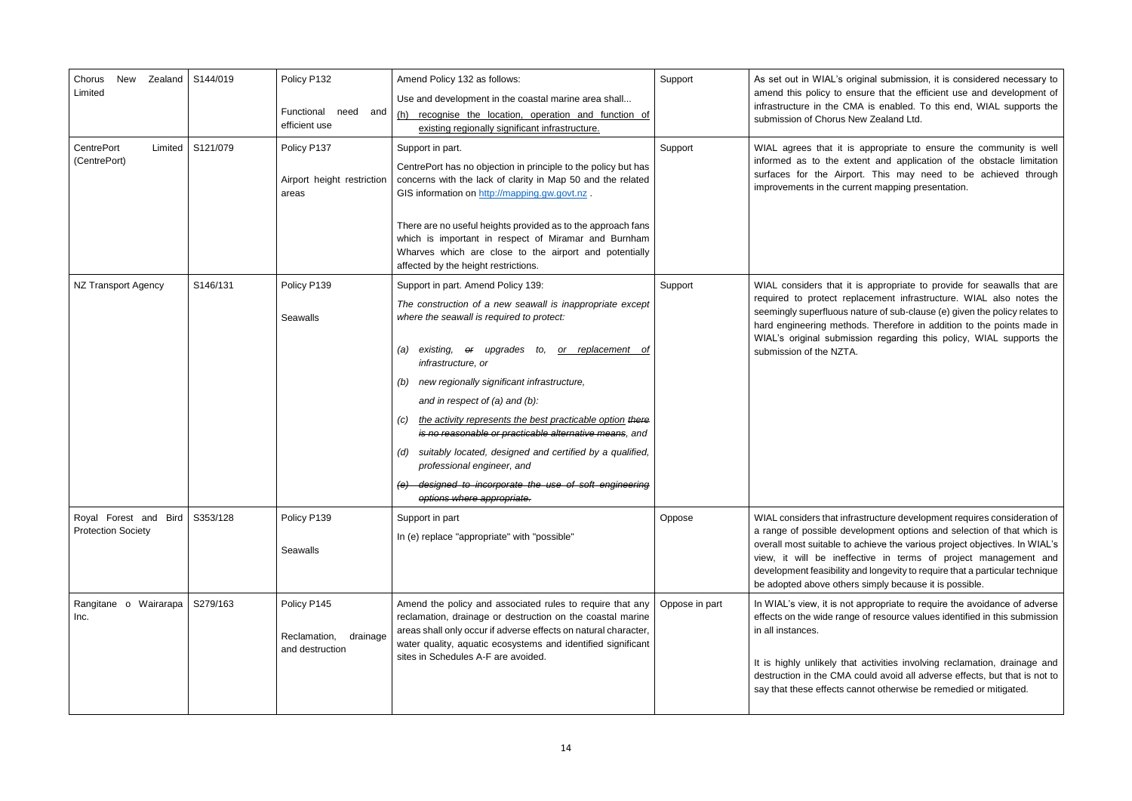riginal submission, it is considered necessary to nsure that the efficient use and development of MA is enabled. To this end, WIAL supports the **Submission Sealand Ltd.** 

is appropriate to ensure the community is well xtent and application of the obstacle limitation ort. This may need to be achieved through irrent mapping presentation.

is appropriate to provide for seawalls that are placement infrastructure. WIAL also notes the nature of sub-clause (e) given the policy relates to ods. Therefore in addition to the points made in ssion regarding this policy, WIAL supports the

rastructure development requires consideration of velopment options and selection of that which is achieve the various project objectives. In WIAL's ective in terms of project management and and longevity to require that a particular technique rs simply because it is possible.

t appropriate to require the avoidance of adverse ge of resource values identified in this submission

at activities involving reclamation, drainage and could avoid all adverse effects, but that is not to annot otherwise be remedied or mitigated.

| Chorus<br><b>New</b><br>Zealand<br>Limited         | S144/019 | Policy P132<br>Functional<br>need<br>and<br>efficient use  | Amend Policy 132 as follows:<br>Use and development in the coastal marine area shall<br>(h) recognise the location, operation and function of<br>existing regionally significant infrastructure.                                                                                                                                                                                                                                                                                                                                                                                                                                             | Support        | As set out in WIAL's ori<br>amend this policy to en:<br>infrastructure in the CM<br>submission of Chorus Ne                                                            |
|----------------------------------------------------|----------|------------------------------------------------------------|----------------------------------------------------------------------------------------------------------------------------------------------------------------------------------------------------------------------------------------------------------------------------------------------------------------------------------------------------------------------------------------------------------------------------------------------------------------------------------------------------------------------------------------------------------------------------------------------------------------------------------------------|----------------|------------------------------------------------------------------------------------------------------------------------------------------------------------------------|
| <b>CentrePort</b><br>Limited<br>(CentrePort)       | S121/079 | Policy P137<br>Airport height restriction<br>areas         | Support in part.<br>CentrePort has no objection in principle to the policy but has<br>concerns with the lack of clarity in Map 50 and the related<br>GIS information on http://mapping.gw.govt.nz.<br>There are no useful heights provided as to the approach fans<br>which is important in respect of Miramar and Burnham<br>Wharves which are close to the airport and potentially<br>affected by the height restrictions.                                                                                                                                                                                                                 | Support        | WIAL agrees that it is<br>informed as to the ext<br>surfaces for the Airpo<br>improvements in the curi                                                                 |
| <b>NZ Transport Agency</b>                         | S146/131 | Policy P139<br>Seawalls                                    | Support in part. Amend Policy 139:<br>The construction of a new seawall is inappropriate except<br>where the seawall is required to protect:<br>existing, or upgrades to, or replacement of<br>(a)<br>infrastructure, or<br>new regionally significant infrastructure,<br>(b)<br>and in respect of $(a)$ and $(b)$ :<br>the activity represents the best practicable option there<br>(C)<br>is no reasonable or practicable alternative means, and<br>suitably located, designed and certified by a qualified,<br>(d)<br>professional engineer, and<br>(e) designed to incorporate the use of soft engineering<br>options where appropriate. | Support        | WIAL considers that it i<br>required to protect repl<br>seemingly superfluous na<br>hard engineering methol<br>WIAL's original submiss<br>submission of the NZTA.      |
| Royal Forest and Bird<br><b>Protection Society</b> | S353/128 | Policy P139<br><b>Seawalls</b>                             | Support in part<br>In (e) replace "appropriate" with "possible"                                                                                                                                                                                                                                                                                                                                                                                                                                                                                                                                                                              | Oppose         | WIAL considers that infra<br>a range of possible deve<br>overall most suitable to a<br>view, it will be ineffe<br>development feasibility a<br>be adopted above others |
| Rangitane o Wairarapa<br>Inc.                      | S279/163 | Policy P145<br>Reclamation,<br>drainage<br>and destruction | Amend the policy and associated rules to require that any<br>reclamation, drainage or destruction on the coastal marine<br>areas shall only occur if adverse effects on natural character,<br>water quality, aquatic ecosystems and identified significant<br>sites in Schedules A-F are avoided.                                                                                                                                                                                                                                                                                                                                            | Oppose in part | In WIAL's view, it is not<br>effects on the wide range<br>in all instances.<br>It is highly unlikely that<br>destruction in the CMA o<br>say that these effects ca     |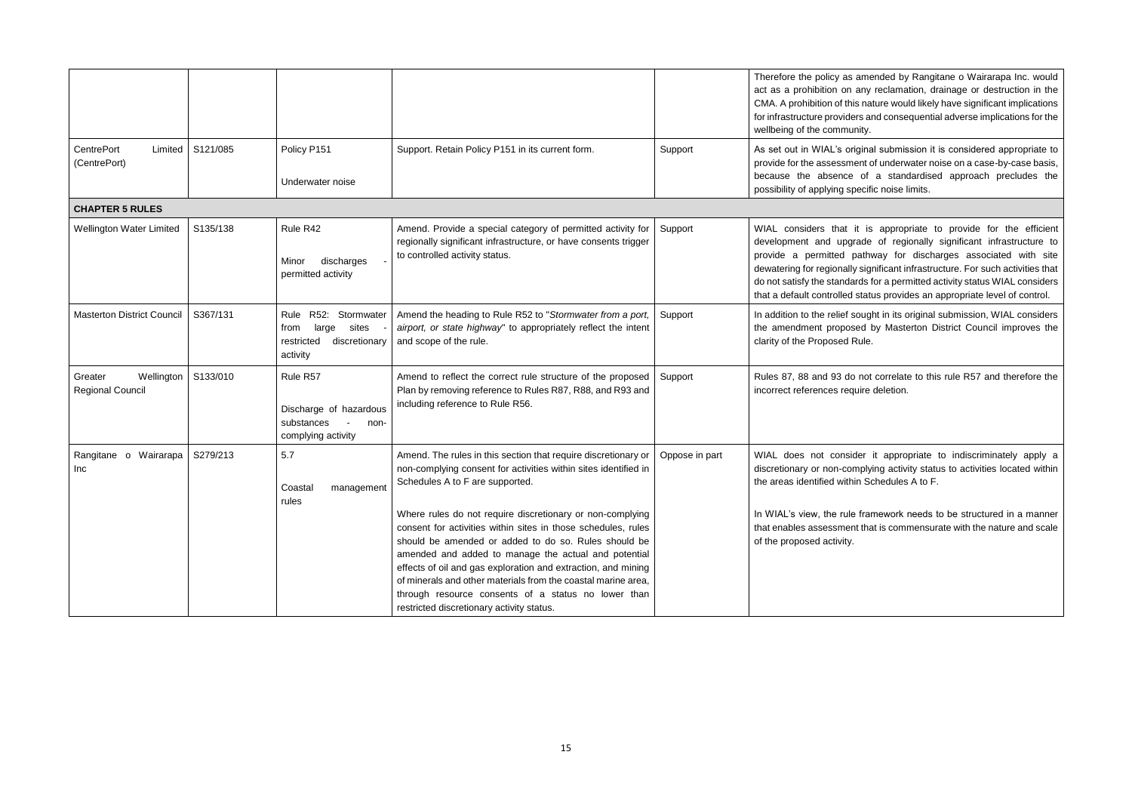amended by Rangitane o Wairarapa Inc. would any reclamation, drainage or destruction in the his nature would likely have significant implications ers and consequential adverse implications for the unity.

riginal submission it is considered appropriate to nent of underwater noise on a case-by-case basis, of a standardised approach precludes the pecific noise limits.

it is appropriate to provide for the efficient rade of regionally significant infrastructure to pathway for discharges associated with site ly significant infrastructure. For such activities that ards for a permitted activity status WIAL considers I status provides an appropriate level of control.

sought in its original submission, WIAL considers sed by Masterton District Council improves the Rule.

o not correlate to this rule R57 and therefore the quire deletion.

ider it appropriate to indiscriminately apply a mplying activity status to activities located within hin Schedules A to F.

e framework needs to be structured in a manner nt that is commensurate with the nature and scale

|                                              |          |                                                                                              |                                                                                                                                                                                                                                                                                                                                                                                                                                                                                     |                | Therefore the policy as<br>act as a prohibition on<br>CMA. A prohibition of this<br>for infrastructure provide<br>wellbeing of the commur                         |
|----------------------------------------------|----------|----------------------------------------------------------------------------------------------|-------------------------------------------------------------------------------------------------------------------------------------------------------------------------------------------------------------------------------------------------------------------------------------------------------------------------------------------------------------------------------------------------------------------------------------------------------------------------------------|----------------|-------------------------------------------------------------------------------------------------------------------------------------------------------------------|
| <b>CentrePort</b><br>Limited<br>(CentrePort) | S121/085 | Policy P151<br>Underwater noise                                                              | Support. Retain Policy P151 in its current form.                                                                                                                                                                                                                                                                                                                                                                                                                                    | Support        | As set out in WIAL's ori<br>provide for the assessme<br>because the absence<br>possibility of applying sp                                                         |
| <b>CHAPTER 5 RULES</b>                       |          |                                                                                              |                                                                                                                                                                                                                                                                                                                                                                                                                                                                                     |                |                                                                                                                                                                   |
| <b>Wellington Water Limited</b>              | S135/138 | Rule R42<br>discharges<br>Minor<br>permitted activity                                        | Amend. Provide a special category of permitted activity for<br>regionally significant infrastructure, or have consents trigger<br>to controlled activity status.                                                                                                                                                                                                                                                                                                                    | Support        | WIAL considers that i<br>development and upgr<br>provide a permitted p<br>dewatering for regionally<br>do not satisfy the standar<br>that a default controlled    |
| <b>Masterton District Council</b>            | S367/131 | R52: Stormwater<br>Rule<br>sites<br>large<br>from<br>restricted<br>discretionary<br>activity | Amend the heading to Rule R52 to "Stormwater from a port,<br>airport, or state highway" to appropriately reflect the intent<br>and scope of the rule.                                                                                                                                                                                                                                                                                                                               | Support        | In addition to the relief s<br>the amendment propos<br>clarity of the Proposed R                                                                                  |
| Greater<br>Wellington<br>Regional Council    | S133/010 | Rule R57<br>Discharge of hazardous<br>substances<br>$\sim$<br>non-<br>complying activity     | Amend to reflect the correct rule structure of the proposed<br>Plan by removing reference to Rules R87, R88, and R93 and<br>including reference to Rule R56.                                                                                                                                                                                                                                                                                                                        | Support        | Rules 87, 88 and 93 do<br>incorrect references requ                                                                                                               |
| Rangitane o Wairarapa<br>Inc.                | S279/213 | 5.7<br>Coastal<br>management<br>rules                                                        | Amend. The rules in this section that require discretionary or<br>non-complying consent for activities within sites identified in<br>Schedules A to F are supported.<br>Where rules do not require discretionary or non-complying<br>consent for activities within sites in those schedules, rules<br>should be amended or added to do so. Rules should be<br>amended and added to manage the actual and potential<br>effects of oil and gas exploration and extraction, and mining | Oppose in part | WIAL does not consic<br>discretionary or non-con<br>the areas identified withi<br>In WIAL's view, the rule<br>that enables assessmen<br>of the proposed activity. |
|                                              |          |                                                                                              | of minerals and other materials from the coastal marine area.<br>through resource consents of a status no lower than<br>restricted discretionary activity status.                                                                                                                                                                                                                                                                                                                   |                |                                                                                                                                                                   |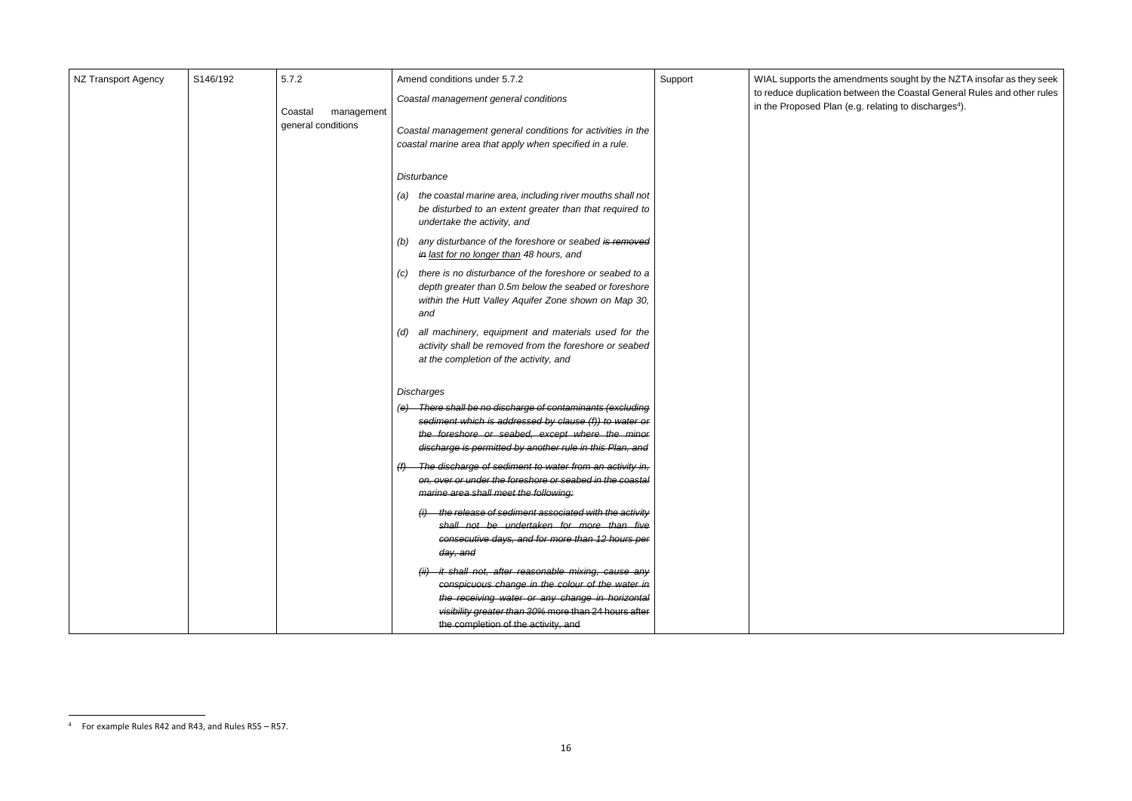| <b>NZ Transport Agency</b> | S146/192 | 5.7.2                                       | Amend conditions under 5.7.2                                                                                                                                                                                                                           | Support | WIAL supports the amer                                |
|----------------------------|----------|---------------------------------------------|--------------------------------------------------------------------------------------------------------------------------------------------------------------------------------------------------------------------------------------------------------|---------|-------------------------------------------------------|
|                            |          | Coastal<br>management<br>general conditions | Coastal management general conditions                                                                                                                                                                                                                  |         | to reduce duplication bet<br>in the Proposed Plan (e. |
|                            |          |                                             | Coastal management general conditions for activities in the<br>coastal marine area that apply when specified in a rule.                                                                                                                                |         |                                                       |
|                            |          |                                             | <b>Disturbance</b>                                                                                                                                                                                                                                     |         |                                                       |
|                            |          |                                             | (a) the coastal marine area, including river mouths shall not<br>be disturbed to an extent greater than that required to<br>undertake the activity, and                                                                                                |         |                                                       |
|                            |          |                                             | any disturbance of the foreshore or seabed is removed<br>(b)<br>in last for no longer than 48 hours, and                                                                                                                                               |         |                                                       |
|                            |          |                                             | there is no disturbance of the foreshore or seabed to a<br>(C)<br>depth greater than 0.5m below the seabed or foreshore<br>within the Hutt Valley Aquifer Zone shown on Map 30,<br>and                                                                 |         |                                                       |
|                            |          |                                             | all machinery, equipment and materials used for the<br>(d)<br>activity shall be removed from the foreshore or seabed<br>at the completion of the activity, and                                                                                         |         |                                                       |
|                            |          |                                             | <b>Discharges</b>                                                                                                                                                                                                                                      |         |                                                       |
|                            |          |                                             | (e) There shall be no discharge of contaminants (excluding<br>sediment which is addressed by clause (f)) to water or<br>the foreshore or seabed, except where the minor<br>discharge is permitted by another rule in this Plan, and                    |         |                                                       |
|                            |          |                                             | The discharge of sediment to water from an activity in,<br>on, over or under the foreshore or seabed in the coastal<br>marine area shall meet the following:                                                                                           |         |                                                       |
|                            |          |                                             | $(i)$ the release of sediment associated with the activity<br>shall not be undertaken for more than five<br>consecutive days, and for more than 12 hours per<br><del>day, and</del>                                                                    |         |                                                       |
|                            |          |                                             | it shall not, after reasonable mixing, cause any<br>conspicuous change in the colour of the water in<br>the receiving water or any change in horizontal<br>visibility greater than 30% more than 24 hours after<br>the completion of the activity, and |         |                                                       |

ndments sought by the NZTA insofar as they seek tween the Coastal General Rules and other rules in the Proposed Plan (e.g. relating to discharges 4 ).

 4 For example Rules R42 and R43, and Rules R55 – R57.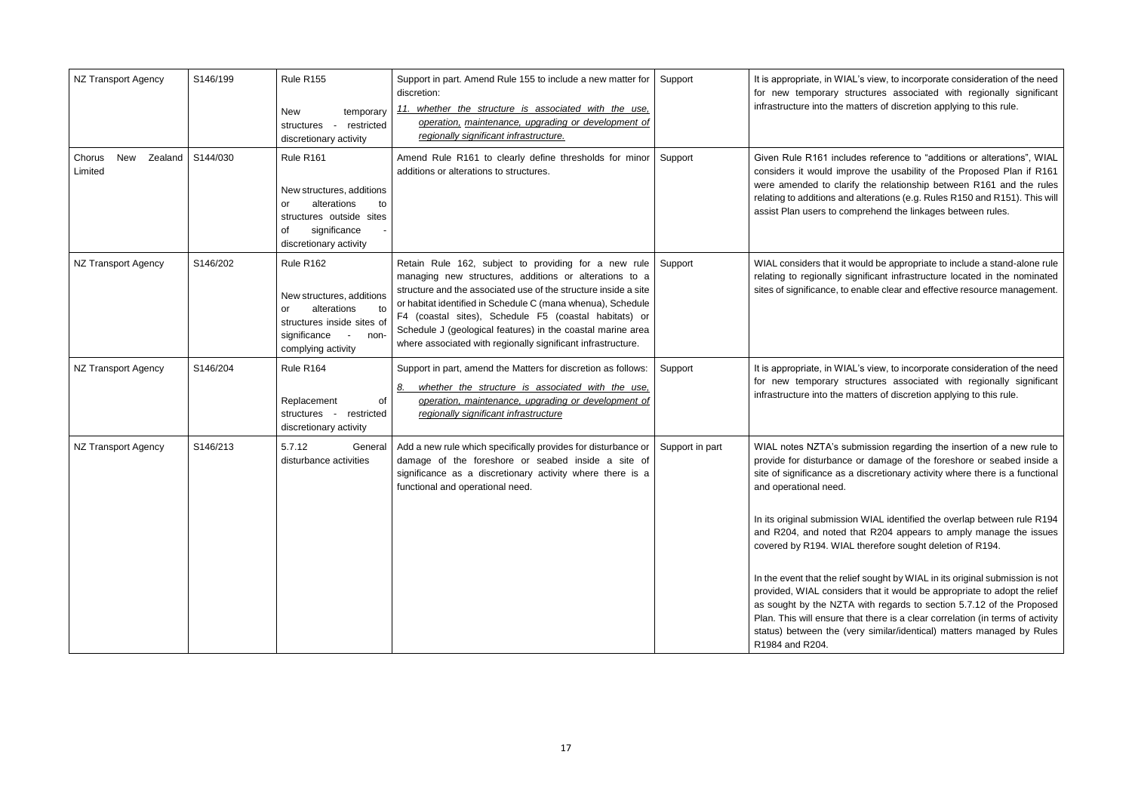AL's view, to incorporate consideration of the need tructures associated with regionally significant natters of discretion applying to this rule.

des reference to "additions or alterations", WIAL prove the usability of the Proposed Plan if R161 rify the relationship between R161 and the rules d alterations (e.g. Rules R150 and R151). This will mprehend the linkages between rules.

would be appropriate to include a stand-alone rule ignificant infrastructure located in the nominated enable clear and effective resource management.

AL's view, to incorporate consideration of the need tructures associated with regionally significant natters of discretion applying to this rule.

abmission regarding the insertion of a new rule to or damage of the foreshore or seabed inside a a discretionary activity where there is a functional

on WIAL identified the overlap between rule R194 that R204 appears to amply manage the issues L therefore sought deletion of R194.

lief sought by WIAL in its original submission is not ers that it would be appropriate to adopt the relief A with regards to section 5.7.12 of the Proposed hat there is a clear correlation (in terms of activity very similar/identical) matters managed by Rules

| NZ Transport Agency                 | S146/199 | Rule R155<br><b>New</b><br>temporary<br>restricted<br>structures<br>discretionary activity                                                    | Support in part. Amend Rule 155 to include a new matter for<br>discretion:<br>11. whether the structure is associated with the use,<br>operation, maintenance, upgrading or development of<br>regionally significant infrastructure.                                                                                                                                                                                                     | Support         | It is appropriate, in WIA<br>for new temporary st<br>infrastructure into the m                                                                                                                            |
|-------------------------------------|----------|-----------------------------------------------------------------------------------------------------------------------------------------------|------------------------------------------------------------------------------------------------------------------------------------------------------------------------------------------------------------------------------------------------------------------------------------------------------------------------------------------------------------------------------------------------------------------------------------------|-----------------|-----------------------------------------------------------------------------------------------------------------------------------------------------------------------------------------------------------|
| New<br>Zealand<br>Chorus<br>Limited | S144/030 | Rule R161<br>New structures, additions<br>alterations<br>to<br>or<br>structures outside sites<br>significance<br>0f<br>discretionary activity | Amend Rule R161 to clearly define thresholds for minor<br>additions or alterations to structures.                                                                                                                                                                                                                                                                                                                                        | Support         | Given Rule R161 inclu<br>considers it would imp<br>were amended to clari<br>relating to additions and<br>assist Plan users to cor                                                                         |
| NZ Transport Agency                 | S146/202 | Rule R162<br>New structures, additions<br>alterations<br>to<br>or<br>structures inside sites of<br>significance<br>non-<br>complying activity | Retain Rule 162, subject to providing for a new rule<br>managing new structures, additions or alterations to a<br>structure and the associated use of the structure inside a site<br>or habitat identified in Schedule C (mana whenua), Schedule<br>F4 (coastal sites), Schedule F5 (coastal habitats) or<br>Schedule J (geological features) in the coastal marine area<br>where associated with regionally significant infrastructure. | Support         | WIAL considers that it v<br>relating to regionally si<br>sites of significance, to                                                                                                                        |
| <b>NZ Transport Agency</b>          | S146/204 | Rule R164<br>Replacement<br>οf<br>structures -<br>restricted<br>discretionary activity                                                        | Support in part, amend the Matters for discretion as follows:<br>whether the structure is associated with the use,<br>8.<br>operation, maintenance, upgrading or development of<br>regionally significant infrastructure                                                                                                                                                                                                                 | Support         | It is appropriate, in WIA<br>for new temporary st<br>infrastructure into the m                                                                                                                            |
| NZ Transport Agency                 | S146/213 | 5.7.12<br>General<br>disturbance activities                                                                                                   | Add a new rule which specifically provides for disturbance or<br>damage of the foreshore or seabed inside a site of<br>significance as a discretionary activity where there is a<br>functional and operational need.                                                                                                                                                                                                                     | Support in part | WIAL notes NZTA's su<br>provide for disturbance<br>site of significance as a<br>and operational need.<br>In its original submissic                                                                        |
|                                     |          |                                                                                                                                               |                                                                                                                                                                                                                                                                                                                                                                                                                                          |                 | and R204, and noted t<br>covered by R194. WIAI<br>In the event that the reli<br>provided, WIAL conside<br>as sought by the NZT/<br>Plan. This will ensure th<br>status) between the (v<br>R1984 and R204. |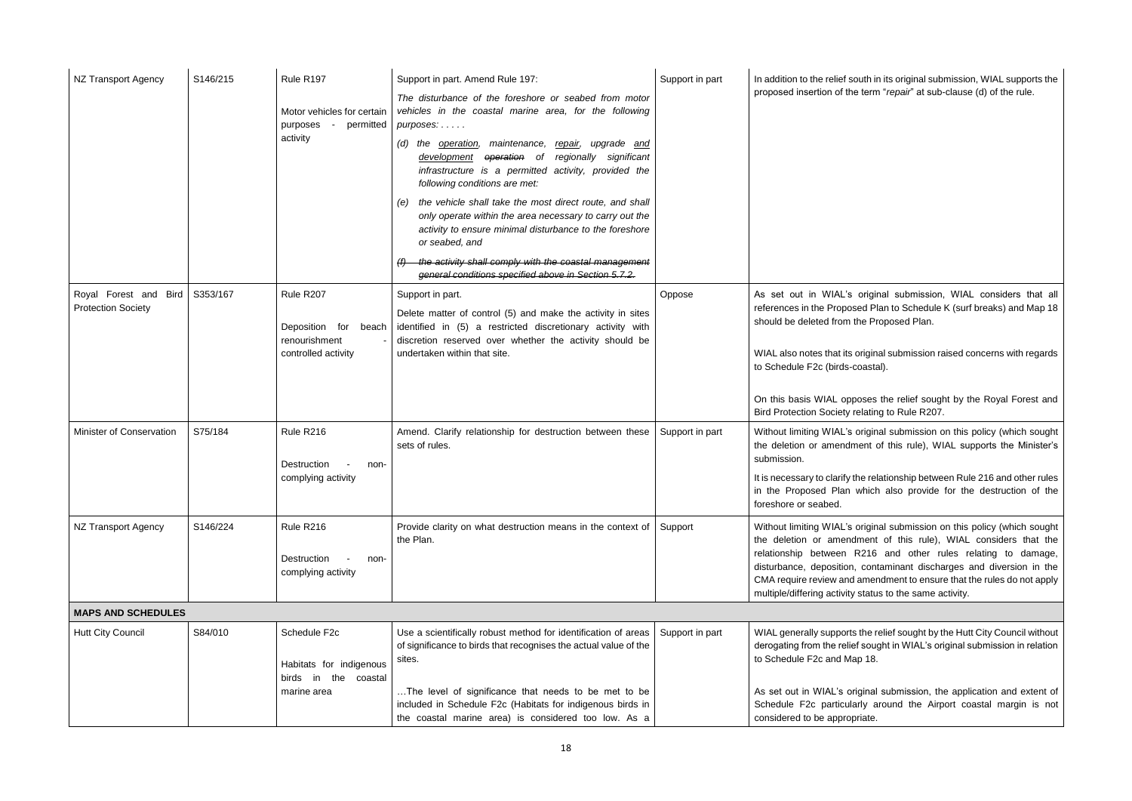south in its original submission, WIAL supports the he term "*repair*" at sub-clause (d) of the rule.

original submission, WIAL considers that all bed Plan to Schedule K (surf breaks) and Map 18 the Proposed Plan.

s original submission raised concerns with regards -coastal).

pposes the relief sought by the Royal Forest and relating to Rule R207.

s original submission on this policy (which sought Iment of this rule), WIAL supports the Minister's

the relationship between Rule 216 and other rules which also provide for the destruction of the

s original submission on this policy (which sought ndment of this rule), WIAL considers that the R216 and other rules relating to damage, n, contaminant discharges and diversion in the d amendment to ensure that the rules do not apply ty status to the same activity.

Its the relief sought by the Hutt City Council without lief sought in WIAL's original submission in relation 1ap 18.

original submission, the application and extent of larly around the Airport coastal margin is not ppriate.

| NZ Transport Agency       | S146/215 | Rule R197                                                                | Support in part. Amend Rule 197:                                                                                                                                                                                     | Support in part | In addition to the relief s                                                                                                                               |
|---------------------------|----------|--------------------------------------------------------------------------|----------------------------------------------------------------------------------------------------------------------------------------------------------------------------------------------------------------------|-----------------|-----------------------------------------------------------------------------------------------------------------------------------------------------------|
|                           |          | Motor vehicles for certain<br>purposes -<br>permitted<br>activity        | The disturbance of the foreshore or seabed from motor<br>vehicles in the coastal marine area, for the following<br>purposes:                                                                                         |                 | proposed insertion of th                                                                                                                                  |
|                           |          |                                                                          | the <b>operation</b> , maintenance, repair, upgrade and<br>(d)<br>development operation of regionally significant<br>infrastructure is a permitted activity, provided the<br>following conditions are met:           |                 |                                                                                                                                                           |
|                           |          |                                                                          | the vehicle shall take the most direct route, and shall<br>(e)<br>only operate within the area necessary to carry out the<br>activity to ensure minimal disturbance to the foreshore<br>or seabed, and               |                 |                                                                                                                                                           |
|                           |          |                                                                          | the activity shall comply with the coastal management<br>general conditions specified above in Section 5.7.2.                                                                                                        |                 |                                                                                                                                                           |
| Royal Forest and Bird     | S353/167 | Rule R207                                                                | Support in part.                                                                                                                                                                                                     | Oppose          | As set out in WIAL's                                                                                                                                      |
| <b>Protection Society</b> |          | Deposition for<br>beach<br>renourishment<br>controlled activity          | Delete matter of control (5) and make the activity in sites<br>identified in (5) a restricted discretionary activity with<br>discretion reserved over whether the activity should be<br>undertaken within that site. |                 | references in the Propo<br>should be deleted from<br>WIAL also notes that its<br>to Schedule F2c (birds-                                                  |
|                           |          |                                                                          |                                                                                                                                                                                                                      |                 | On this basis WIAL op<br><b>Bird Protection Society</b>                                                                                                   |
| Minister of Conservation  | S75/184  | Rule R216<br>Destruction                                                 | Amend. Clarify relationship for destruction between these<br>sets of rules.                                                                                                                                          | Support in part | Without limiting WIAL's<br>the deletion or amend<br>submission.                                                                                           |
|                           |          | non-<br>complying activity                                               |                                                                                                                                                                                                                      |                 | It is necessary to clarify<br>in the Proposed Plan<br>foreshore or seabed.                                                                                |
| NZ Transport Agency       | S146/224 | Rule R216<br>Destruction<br>non-<br>complying activity                   | Provide clarity on what destruction means in the context of<br>the Plan.                                                                                                                                             | Support         | Without limiting WIAL's<br>the deletion or amen<br>relationship between<br>disturbance, deposition<br>CMA require review an<br>multiple/differing activit |
| <b>MAPS AND SCHEDULES</b> |          |                                                                          |                                                                                                                                                                                                                      |                 |                                                                                                                                                           |
| Hutt City Council         | S84/010  | Schedule F2c<br>Habitats for indigenous<br>the<br>birds<br>in<br>coastal | Use a scientifically robust method for identification of areas<br>of significance to birds that recognises the actual value of the<br>sites.                                                                         | Support in part | WIAL generally support<br>derogating from the reli<br>to Schedule F2c and M                                                                               |
|                           |          | marine area                                                              | The level of significance that needs to be met to be<br>included in Schedule F2c (Habitats for indigenous birds in<br>the coastal marine area) is considered too low. As a                                           |                 | As set out in WIAL's o<br>Schedule F2c particu<br>considered to be appro                                                                                  |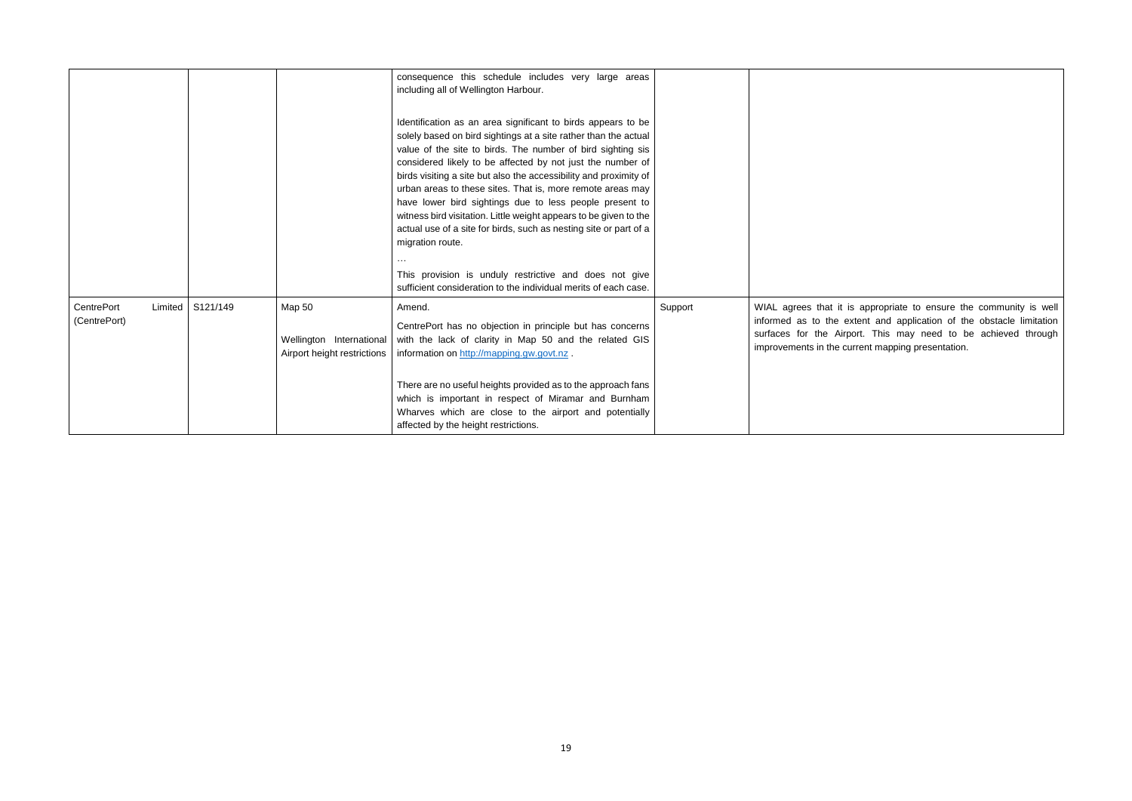is appropriate to ensure the community is well extent and application of the obstacle limitation port. This may need to be achieved through urrent mapping presentation.

|                                   |         |          |                                                                   | consequence this schedule includes very large areas<br>including all of Wellington Harbour.                                                                                                                                                                                                                                                                                                                                                                                                                                                                                                                                                                                                                                                           |         |                                                                                                    |
|-----------------------------------|---------|----------|-------------------------------------------------------------------|-------------------------------------------------------------------------------------------------------------------------------------------------------------------------------------------------------------------------------------------------------------------------------------------------------------------------------------------------------------------------------------------------------------------------------------------------------------------------------------------------------------------------------------------------------------------------------------------------------------------------------------------------------------------------------------------------------------------------------------------------------|---------|----------------------------------------------------------------------------------------------------|
|                                   |         |          |                                                                   | Identification as an area significant to birds appears to be<br>solely based on bird sightings at a site rather than the actual<br>value of the site to birds. The number of bird sighting sis<br>considered likely to be affected by not just the number of<br>birds visiting a site but also the accessibility and proximity of<br>urban areas to these sites. That is, more remote areas may<br>have lower bird sightings due to less people present to<br>witness bird visitation. Little weight appears to be given to the<br>actual use of a site for birds, such as nesting site or part of a<br>migration route.<br>This provision is unduly restrictive and does not give<br>sufficient consideration to the individual merits of each case. |         |                                                                                                    |
| <b>CentrePort</b><br>(CentrePort) | Limited | S121/149 | Map 50<br>Wellington International<br>Airport height restrictions | Amend.<br>CentrePort has no objection in principle but has concerns<br>with the lack of clarity in Map 50 and the related GIS<br>information on http://mapping.gw.govt.nz.                                                                                                                                                                                                                                                                                                                                                                                                                                                                                                                                                                            | Support | WIAL agrees that it is<br>informed as to the e:<br>surfaces for the Airp<br>improvements in the cu |
|                                   |         |          |                                                                   | There are no useful heights provided as to the approach fans<br>which is important in respect of Miramar and Burnham<br>Wharves which are close to the airport and potentially<br>affected by the height restrictions.                                                                                                                                                                                                                                                                                                                                                                                                                                                                                                                                |         |                                                                                                    |